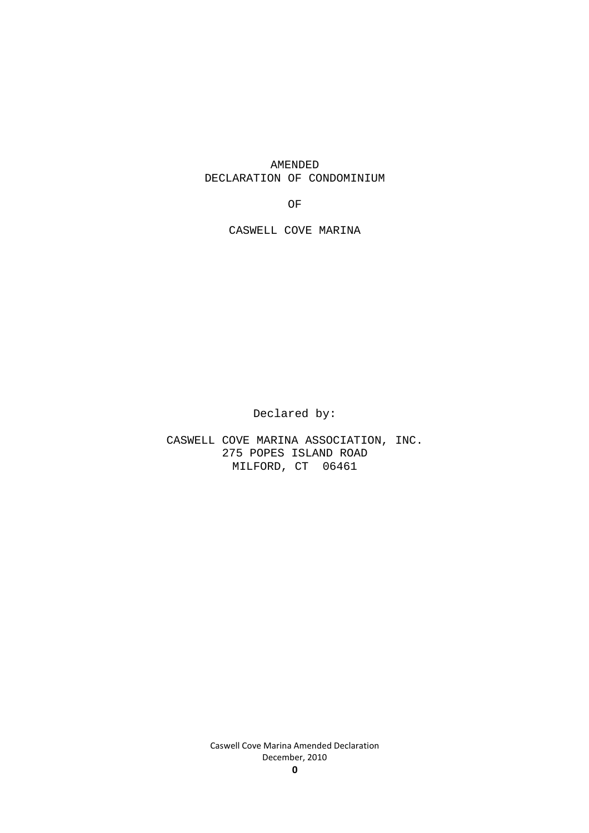AMENDED DECLARATION OF CONDOMINIUM

OF

CASWELL COVE MARINA

Declared by:

CASWELL COVE MARINA ASSOCIATION, INC. 275 POPES ISLAND ROAD MILFORD, CT 06461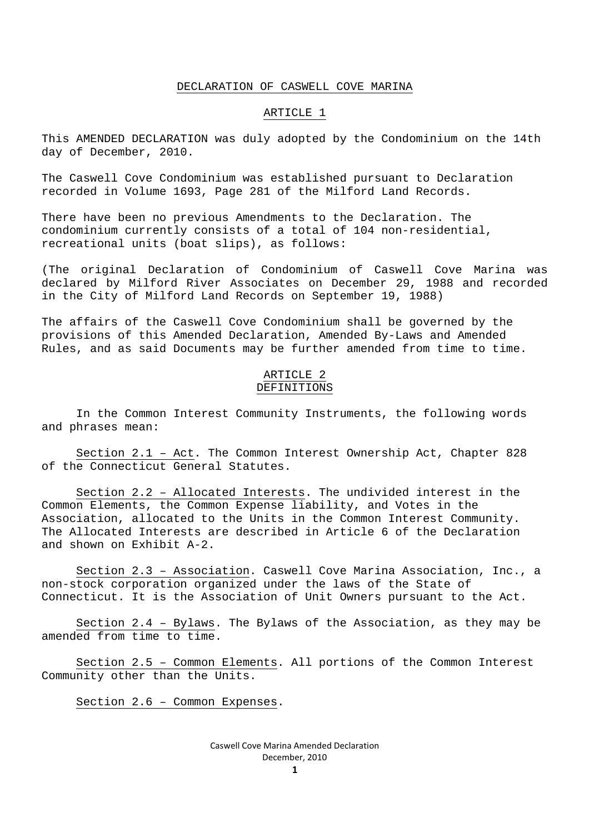#### DECLARATION OF CASWELL COVE MARINA

#### ARTICLE 1

This AMENDED DECLARATION was duly adopted by the Condominium on the 14th day of December, 2010.

The Caswell Cove Condominium was established pursuant to Declaration recorded in Volume 1693, Page 281 of the Milford Land Records.

There have been no previous Amendments to the Declaration. The condominium currently consists of a total of 104 non-residential, recreational units (boat slips), as follows:

(The original Declaration of Condominium of Caswell Cove Marina was declared by Milford River Associates on December 29, 1988 and recorded in the City of Milford Land Records on September 19, 1988)

The affairs of the Caswell Cove Condominium shall be governed by the provisions of this Amended Declaration, Amended By-Laws and Amended Rules, and as said Documents may be further amended from time to time.

# ARTICLE 2 DEFINITIONS

In the Common Interest Community Instruments, the following words and phrases mean:

Section 2.1 – Act. The Common Interest Ownership Act, Chapter 828 of the Connecticut General Statutes.

Section 2.2 – Allocated Interests. The undivided interest in the Common Elements, the Common Expense liability, and Votes in the Association, allocated to the Units in the Common Interest Community. The Allocated Interests are described in Article 6 of the Declaration and shown on Exhibit A-2.

Section 2.3 – Association. Caswell Cove Marina Association, Inc., a non-stock corporation organized under the laws of the State of Connecticut. It is the Association of Unit Owners pursuant to the Act.

Section 2.4 – Bylaws. The Bylaws of the Association, as they may be amended from time to time.

Section 2.5 – Common Elements. All portions of the Common Interest Community other than the Units.

Section 2.6 – Common Expenses.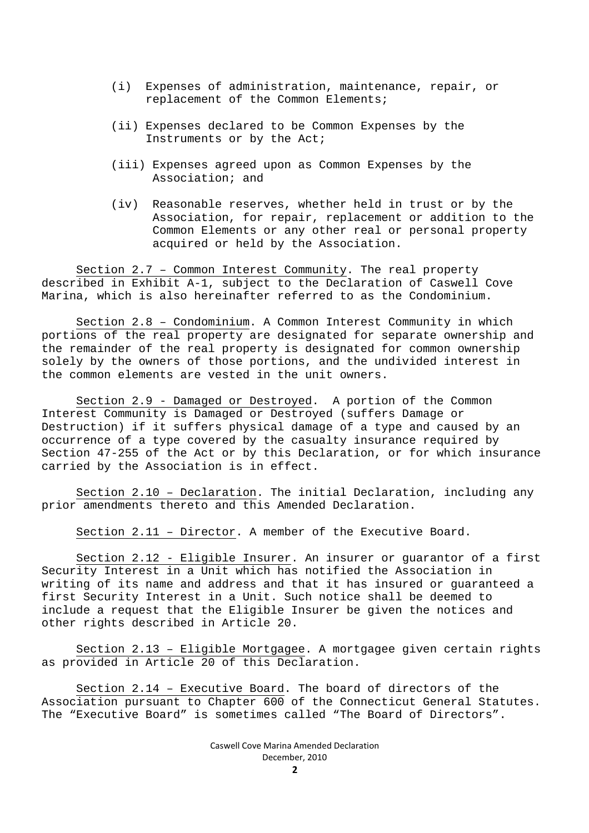- (i) Expenses of administration, maintenance, repair, or replacement of the Common Elements;
- (ii) Expenses declared to be Common Expenses by the Instruments or by the Act;
- (iii) Expenses agreed upon as Common Expenses by the Association; and
- (iv) Reasonable reserves, whether held in trust or by the Association, for repair, replacement or addition to the Common Elements or any other real or personal property acquired or held by the Association.

Section 2.7 – Common Interest Community. The real property described in Exhibit A-1, subject to the Declaration of Caswell Cove Marina, which is also hereinafter referred to as the Condominium.

Section 2.8 – Condominium. A Common Interest Community in which portions of the real property are designated for separate ownership and the remainder of the real property is designated for common ownership solely by the owners of those portions, and the undivided interest in the common elements are vested in the unit owners.

Section 2.9 - Damaged or Destroyed. A portion of the Common Interest Community is Damaged or Destroyed (suffers Damage or Destruction) if it suffers physical damage of a type and caused by an occurrence of a type covered by the casualty insurance required by Section 47-255 of the Act or by this Declaration, or for which insurance carried by the Association is in effect.

Section 2.10 – Declaration. The initial Declaration, including any prior amendments thereto and this Amended Declaration.

Section 2.11 – Director. A member of the Executive Board.

Section 2.12 - Eligible Insurer. An insurer or guarantor of a first Security Interest in a Unit which has notified the Association in writing of its name and address and that it has insured or guaranteed a first Security Interest in a Unit. Such notice shall be deemed to include a request that the Eligible Insurer be given the notices and other rights described in Article 20.

Section 2.13 – Eligible Mortgagee. A mortgagee given certain rights as provided in Article 20 of this Declaration.

Section 2.14 – Executive Board. The board of directors of the Association pursuant to Chapter 600 of the Connecticut General Statutes. The "Executive Board" is sometimes called "The Board of Directors".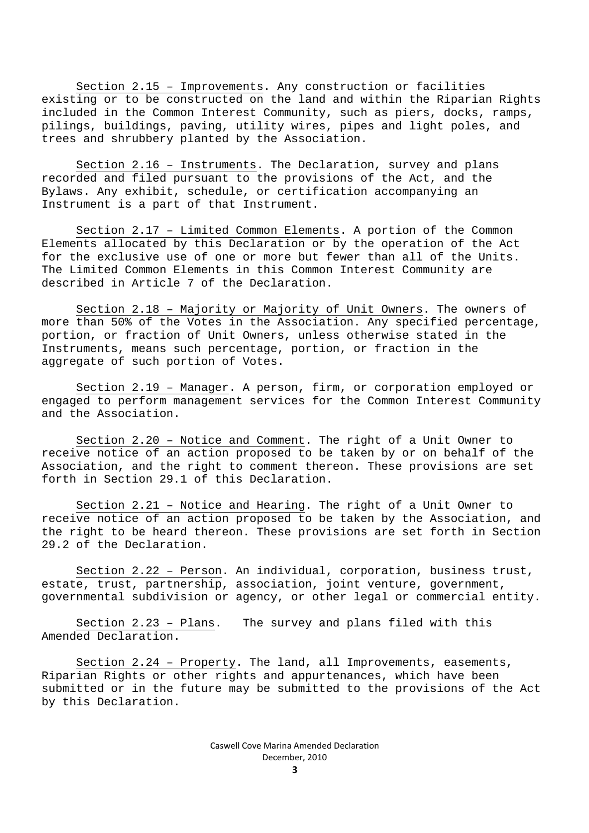Section 2.15 – Improvements. Any construction or facilities existing or to be constructed on the land and within the Riparian Rights included in the Common Interest Community, such as piers, docks, ramps, pilings, buildings, paving, utility wires, pipes and light poles, and trees and shrubbery planted by the Association.

Section 2.16 – Instruments. The Declaration, survey and plans recorded and filed pursuant to the provisions of the Act, and the Bylaws. Any exhibit, schedule, or certification accompanying an Instrument is a part of that Instrument.

Section 2.17 – Limited Common Elements. A portion of the Common Elements allocated by this Declaration or by the operation of the Act for the exclusive use of one or more but fewer than all of the Units. The Limited Common Elements in this Common Interest Community are described in Article 7 of the Declaration.

Section 2.18 – Majority or Majority of Unit Owners. The owners of more than 50% of the Votes in the Association. Any specified percentage, portion, or fraction of Unit Owners, unless otherwise stated in the Instruments, means such percentage, portion, or fraction in the aggregate of such portion of Votes.

Section 2.19 – Manager. A person, firm, or corporation employed or engaged to perform management services for the Common Interest Community and the Association.

Section 2.20 – Notice and Comment. The right of a Unit Owner to receive notice of an action proposed to be taken by or on behalf of the Association, and the right to comment thereon. These provisions are set forth in Section 29.1 of this Declaration.

Section 2.21 – Notice and Hearing. The right of a Unit Owner to receive notice of an action proposed to be taken by the Association, and the right to be heard thereon. These provisions are set forth in Section 29.2 of the Declaration.

Section 2.22 – Person. An individual, corporation, business trust, estate, trust, partnership, association, joint venture, government, governmental subdivision or agency, or other legal or commercial entity.

Section 2.23 – Plans. The survey and plans filed with this Amended Declaration.

Section 2.24 – Property. The land, all Improvements, easements, Riparian Rights or other rights and appurtenances, which have been submitted or in the future may be submitted to the provisions of the Act by this Declaration.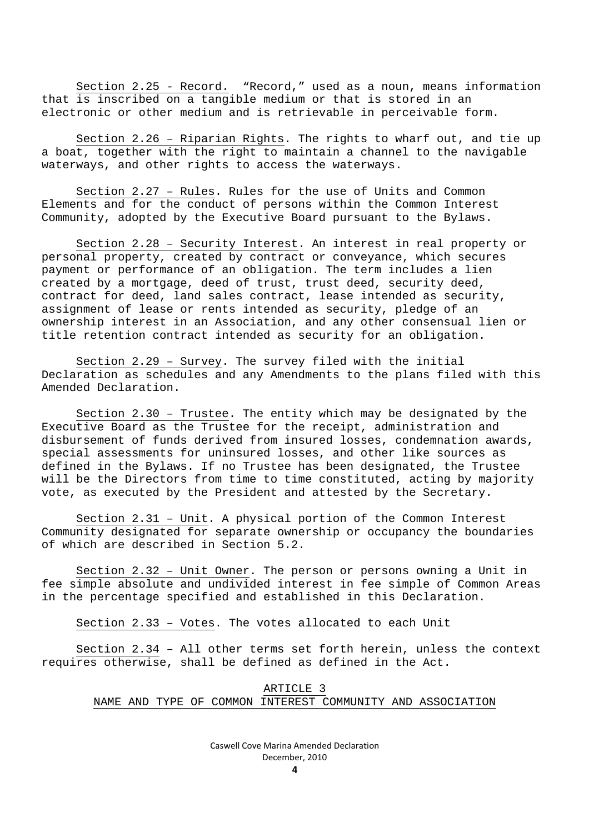Section 2.25 - Record. "Record," used as a noun, means information that is inscribed on a tangible medium or that is stored in an electronic or other medium and is retrievable in perceivable form.

Section 2.26 – Riparian Rights. The rights to wharf out, and tie up a boat, together with the right to maintain a channel to the navigable waterways, and other rights to access the waterways.

Section 2.27 – Rules. Rules for the use of Units and Common Elements and for the conduct of persons within the Common Interest Community, adopted by the Executive Board pursuant to the Bylaws.

Section 2.28 – Security Interest. An interest in real property or personal property, created by contract or conveyance, which secures payment or performance of an obligation. The term includes a lien created by a mortgage, deed of trust, trust deed, security deed, contract for deed, land sales contract, lease intended as security, assignment of lease or rents intended as security, pledge of an ownership interest in an Association, and any other consensual lien or title retention contract intended as security for an obligation.

Section 2.29 – Survey. The survey filed with the initial Declaration as schedules and any Amendments to the plans filed with this Amended Declaration.

Section 2.30 – Trustee. The entity which may be designated by the Executive Board as the Trustee for the receipt, administration and disbursement of funds derived from insured losses, condemnation awards, special assessments for uninsured losses, and other like sources as defined in the Bylaws. If no Trustee has been designated, the Trustee will be the Directors from time to time constituted, acting by majority vote, as executed by the President and attested by the Secretary.

Section 2.31 – Unit. A physical portion of the Common Interest Community designated for separate ownership or occupancy the boundaries of which are described in Section 5.2.

Section 2.32 – Unit Owner. The person or persons owning a Unit in fee simple absolute and undivided interest in fee simple of Common Areas in the percentage specified and established in this Declaration.

Section 2.33 – Votes. The votes allocated to each Unit

Section 2.34 – All other terms set forth herein, unless the context requires otherwise, shall be defined as defined in the Act.

> ARTICLE 3 NAME AND TYPE OF COMMON INTEREST COMMUNITY AND ASSOCIATION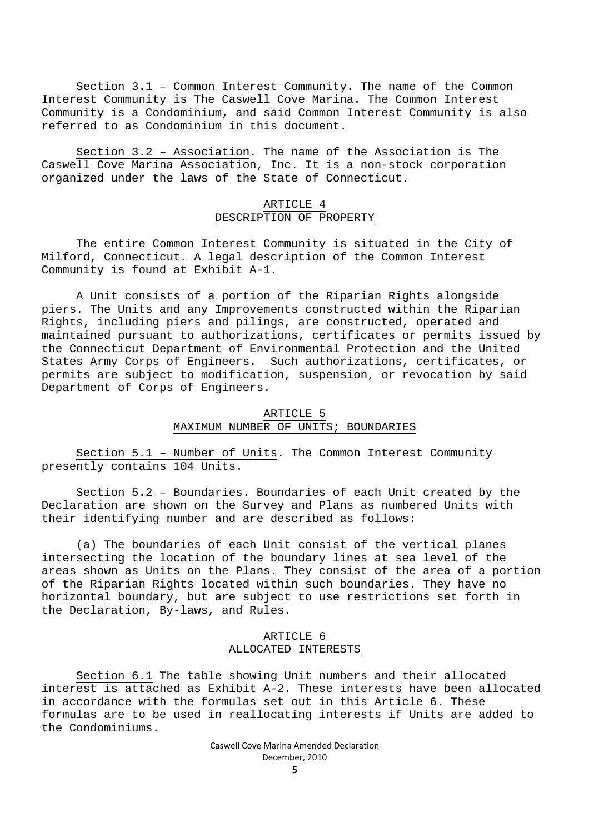Section 3.1 – Common Interest Community. The name of the Common Interest Community is The Caswell Cove Marina. The Common Interest Community is a Condominium, and said Common Interest Community is also referred to as Condominium in this document.

Section 3.2 – Association. The name of the Association is The Caswell Cove Marina Association, Inc. It is a non-stock corporation organized under the laws of the State of Connecticut.

#### ARTICLE 4 DESCRIPTION OF PROPERTY

The entire Common Interest Community is situated in the City of Milford, Connecticut. A legal description of the Common Interest Community is found at Exhibit A-1.

A Unit consists of a portion of the Riparian Rights alongside piers. The Units and any Improvements constructed within the Riparian Rights, including piers and pilings, are constructed, operated and maintained pursuant to authorizations, certificates or permits issued by the Connecticut Department of Environmental Protection and the United States Army Corps of Engineers. Such authorizations, certificates, or permits are subject to modification, suspension, or revocation by said Department of Corps of Engineers.

### ARTICLE 5 MAXIMUM NUMBER OF UNITS; BOUNDARIES

Section 5.1 – Number of Units. The Common Interest Community presently contains 104 Units.

Section 5.2 – Boundaries. Boundaries of each Unit created by the Declaration are shown on the Survey and Plans as numbered Units with their identifying number and are described as follows:

(a) The boundaries of each Unit consist of the vertical planes intersecting the location of the boundary lines at sea level of the areas shown as Units on the Plans. They consist of the area of a portion of the Riparian Rights located within such boundaries. They have no horizontal boundary, but are subject to use restrictions set forth in the Declaration, By-laws, and Rules.

### ARTICLE 6 ALLOCATED INTERESTS

Section 6.1 The table showing Unit numbers and their allocated interest is attached as Exhibit A-2. These interests have been allocated in accordance with the formulas set out in this Article 6. These formulas are to be used in reallocating interests if Units are added to the Condominiums.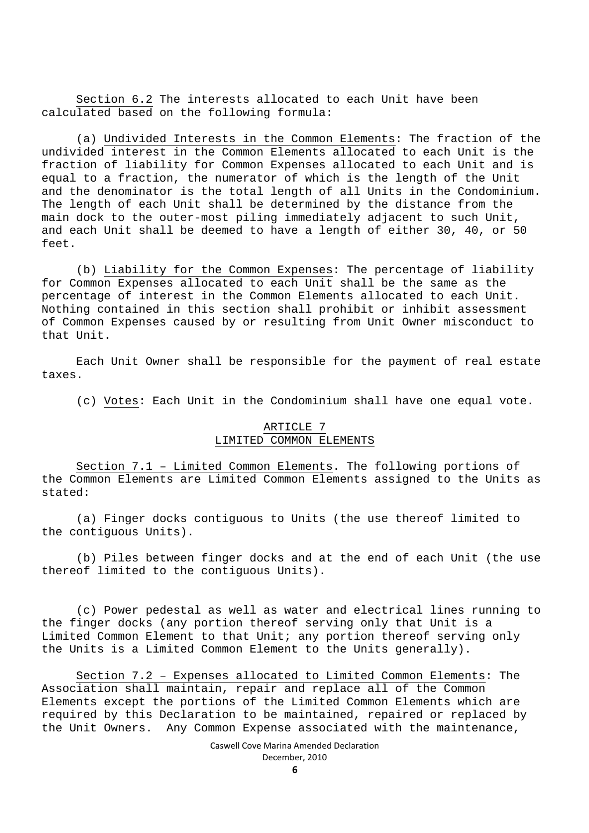Section 6.2 The interests allocated to each Unit have been calculated based on the following formula:

(a) Undivided Interests in the Common Elements: The fraction of the undivided interest in the Common Elements allocated to each Unit is the fraction of liability for Common Expenses allocated to each Unit and is equal to a fraction, the numerator of which is the length of the Unit and the denominator is the total length of all Units in the Condominium. The length of each Unit shall be determined by the distance from the main dock to the outer-most piling immediately adjacent to such Unit, and each Unit shall be deemed to have a length of either 30, 40, or 50 feet.

(b) Liability for the Common Expenses: The percentage of liability for Common Expenses allocated to each Unit shall be the same as the percentage of interest in the Common Elements allocated to each Unit. Nothing contained in this section shall prohibit or inhibit assessment of Common Expenses caused by or resulting from Unit Owner misconduct to that Unit.

Each Unit Owner shall be responsible for the payment of real estate taxes.

(c) Votes: Each Unit in the Condominium shall have one equal vote.

### ARTICLE 7 LIMITED COMMON ELEMENTS

Section 7.1 – Limited Common Elements. The following portions of the Common Elements are Limited Common Elements assigned to the Units as stated:

(a) Finger docks contiguous to Units (the use thereof limited to the contiguous Units).

(b) Piles between finger docks and at the end of each Unit (the use thereof limited to the contiguous Units).

(c) Power pedestal as well as water and electrical lines running to the finger docks (any portion thereof serving only that Unit is a Limited Common Element to that Unit; any portion thereof serving only the Units is a Limited Common Element to the Units generally).

Section 7.2 – Expenses allocated to Limited Common Elements: The Association shall maintain, repair and replace all of the Common Elements except the portions of the Limited Common Elements which are required by this Declaration to be maintained, repaired or replaced by the Unit Owners. Any Common Expense associated with the maintenance,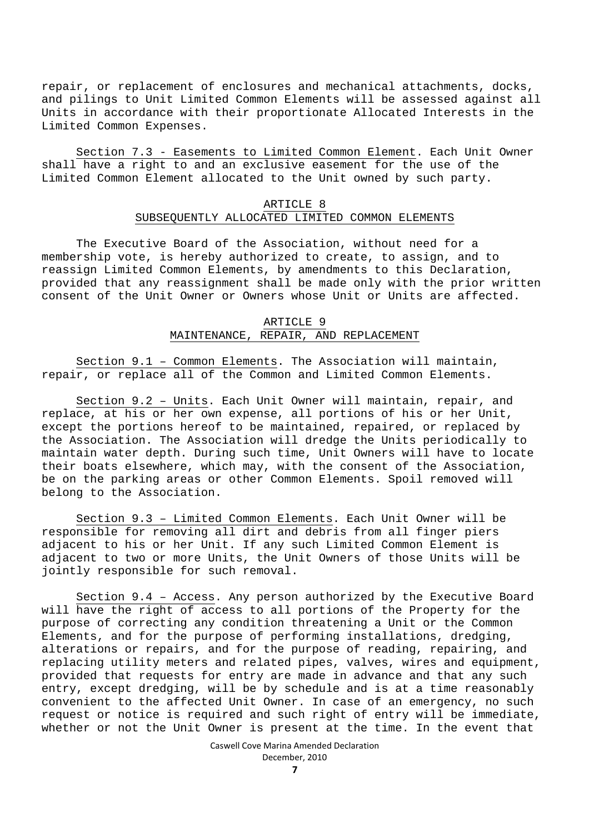repair, or replacement of enclosures and mechanical attachments, docks, and pilings to Unit Limited Common Elements will be assessed against all Units in accordance with their proportionate Allocated Interests in the Limited Common Expenses.

Section 7.3 - Easements to Limited Common Element. Each Unit Owner shall have a right to and an exclusive easement for the use of the Limited Common Element allocated to the Unit owned by such party.

#### ARTICLE 8 SUBSEQUENTLY ALLOCATED LIMITED COMMON ELEMENTS

The Executive Board of the Association, without need for a membership vote, is hereby authorized to create, to assign, and to reassign Limited Common Elements, by amendments to this Declaration, provided that any reassignment shall be made only with the prior written consent of the Unit Owner or Owners whose Unit or Units are affected.

### ARTICLE 9 MAINTENANCE, REPAIR, AND REPLACEMENT

Section 9.1 – Common Elements. The Association will maintain, repair, or replace all of the Common and Limited Common Elements.

Section 9.2 – Units. Each Unit Owner will maintain, repair, and replace, at his or her own expense, all portions of his or her Unit, except the portions hereof to be maintained, repaired, or replaced by the Association. The Association will dredge the Units periodically to maintain water depth. During such time, Unit Owners will have to locate their boats elsewhere, which may, with the consent of the Association, be on the parking areas or other Common Elements. Spoil removed will belong to the Association.

Section 9.3 – Limited Common Elements. Each Unit Owner will be responsible for removing all dirt and debris from all finger piers adjacent to his or her Unit. If any such Limited Common Element is adjacent to two or more Units, the Unit Owners of those Units will be jointly responsible for such removal.

Section 9.4 – Access. Any person authorized by the Executive Board will have the right of access to all portions of the Property for the purpose of correcting any condition threatening a Unit or the Common Elements, and for the purpose of performing installations, dredging, alterations or repairs, and for the purpose of reading, repairing, and replacing utility meters and related pipes, valves, wires and equipment, provided that requests for entry are made in advance and that any such entry, except dredging, will be by schedule and is at a time reasonably convenient to the affected Unit Owner. In case of an emergency, no such request or notice is required and such right of entry will be immediate, whether or not the Unit Owner is present at the time. In the event that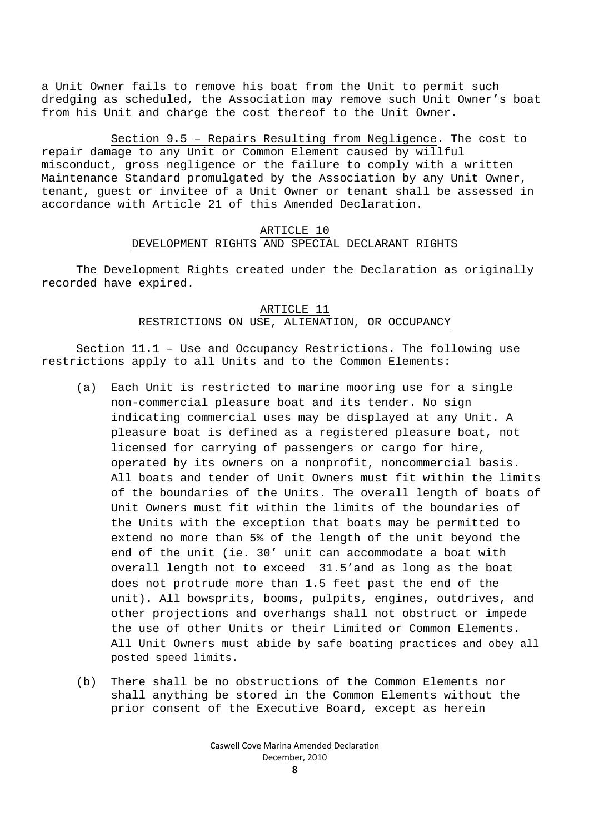a Unit Owner fails to remove his boat from the Unit to permit such dredging as scheduled, the Association may remove such Unit Owner's boat from his Unit and charge the cost thereof to the Unit Owner.

Section 9.5 – Repairs Resulting from Negligence. The cost to repair damage to any Unit or Common Element caused by willful misconduct, gross negligence or the failure to comply with a written Maintenance Standard promulgated by the Association by any Unit Owner, tenant, guest or invitee of a Unit Owner or tenant shall be assessed in accordance with Article 21 of this Amended Declaration.

### ARTICLE 10 DEVELOPMENT RIGHTS AND SPECIAL DECLARANT RIGHTS

The Development Rights created under the Declaration as originally recorded have expired.

### ARTICLE 11 RESTRICTIONS ON USE, ALIENATION, OR OCCUPANCY

Section 11.1 – Use and Occupancy Restrictions. The following use restrictions apply to all Units and to the Common Elements:

- (a) Each Unit is restricted to marine mooring use for a single non-commercial pleasure boat and its tender. No sign indicating commercial uses may be displayed at any Unit. A pleasure boat is defined as a registered pleasure boat, not licensed for carrying of passengers or cargo for hire, operated by its owners on a nonprofit, noncommercial basis. All boats and tender of Unit Owners must fit within the limits of the boundaries of the Units. The overall length of boats of Unit Owners must fit within the limits of the boundaries of the Units with the exception that boats may be permitted to extend no more than 5% of the length of the unit beyond the end of the unit (ie. 30' unit can accommodate a boat with overall length not to exceed 31.5'and as long as the boat does not protrude more than 1.5 feet past the end of the unit). All bowsprits, booms, pulpits, engines, outdrives, and other projections and overhangs shall not obstruct or impede the use of other Units or their Limited or Common Elements. All Unit Owners must abide by safe boating practices and obey all posted speed limits.
- (b) There shall be no obstructions of the Common Elements nor shall anything be stored in the Common Elements without the prior consent of the Executive Board, except as herein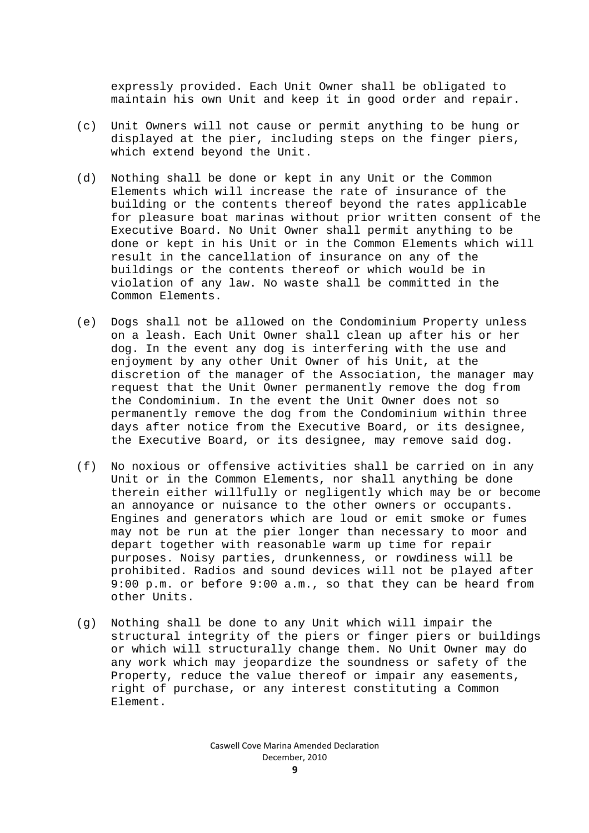expressly provided. Each Unit Owner shall be obligated to maintain his own Unit and keep it in good order and repair.

- (c) Unit Owners will not cause or permit anything to be hung or displayed at the pier, including steps on the finger piers, which extend beyond the Unit.
- (d) Nothing shall be done or kept in any Unit or the Common Elements which will increase the rate of insurance of the building or the contents thereof beyond the rates applicable for pleasure boat marinas without prior written consent of the Executive Board. No Unit Owner shall permit anything to be done or kept in his Unit or in the Common Elements which will result in the cancellation of insurance on any of the buildings or the contents thereof or which would be in violation of any law. No waste shall be committed in the Common Elements.
- (e) Dogs shall not be allowed on the Condominium Property unless on a leash. Each Unit Owner shall clean up after his or her dog. In the event any dog is interfering with the use and enjoyment by any other Unit Owner of his Unit, at the discretion of the manager of the Association, the manager may request that the Unit Owner permanently remove the dog from the Condominium. In the event the Unit Owner does not so permanently remove the dog from the Condominium within three days after notice from the Executive Board, or its designee, the Executive Board, or its designee, may remove said dog.
- (f) No noxious or offensive activities shall be carried on in any Unit or in the Common Elements, nor shall anything be done therein either willfully or negligently which may be or become an annoyance or nuisance to the other owners or occupants. Engines and generators which are loud or emit smoke or fumes may not be run at the pier longer than necessary to moor and depart together with reasonable warm up time for repair purposes. Noisy parties, drunkenness, or rowdiness will be prohibited. Radios and sound devices will not be played after 9:00 p.m. or before 9:00 a.m., so that they can be heard from other Units.
- (g) Nothing shall be done to any Unit which will impair the structural integrity of the piers or finger piers or buildings or which will structurally change them. No Unit Owner may do any work which may jeopardize the soundness or safety of the Property, reduce the value thereof or impair any easements, right of purchase, or any interest constituting a Common Element.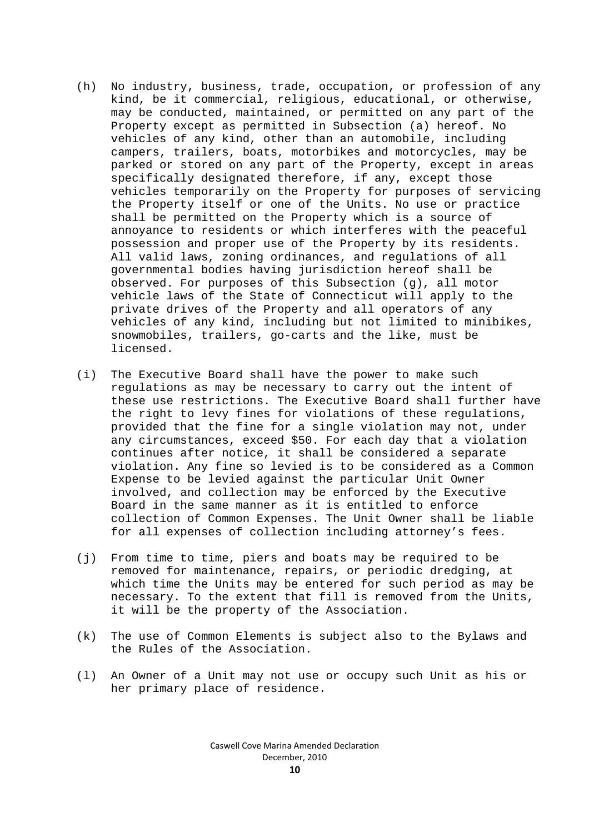- (h) No industry, business, trade, occupation, or profession of any kind, be it commercial, religious, educational, or otherwise, may be conducted, maintained, or permitted on any part of the Property except as permitted in Subsection (a) hereof. No vehicles of any kind, other than an automobile, including campers, trailers, boats, motorbikes and motorcycles, may be parked or stored on any part of the Property, except in areas specifically designated therefore, if any, except those vehicles temporarily on the Property for purposes of servicing the Property itself or one of the Units. No use or practice shall be permitted on the Property which is a source of annoyance to residents or which interferes with the peaceful possession and proper use of the Property by its residents. All valid laws, zoning ordinances, and regulations of all governmental bodies having jurisdiction hereof shall be observed. For purposes of this Subsection (g), all motor vehicle laws of the State of Connecticut will apply to the private drives of the Property and all operators of any vehicles of any kind, including but not limited to minibikes, snowmobiles, trailers, go-carts and the like, must be licensed.
- (i) The Executive Board shall have the power to make such regulations as may be necessary to carry out the intent of these use restrictions. The Executive Board shall further have the right to levy fines for violations of these regulations, provided that the fine for a single violation may not, under any circumstances, exceed \$50. For each day that a violation continues after notice, it shall be considered a separate violation. Any fine so levied is to be considered as a Common Expense to be levied against the particular Unit Owner involved, and collection may be enforced by the Executive Board in the same manner as it is entitled to enforce collection of Common Expenses. The Unit Owner shall be liable for all expenses of collection including attorney's fees.
- (j) From time to time, piers and boats may be required to be removed for maintenance, repairs, or periodic dredging, at which time the Units may be entered for such period as may be necessary. To the extent that fill is removed from the Units, it will be the property of the Association.
- (k) The use of Common Elements is subject also to the Bylaws and the Rules of the Association.
- (l) An Owner of a Unit may not use or occupy such Unit as his or her primary place of residence.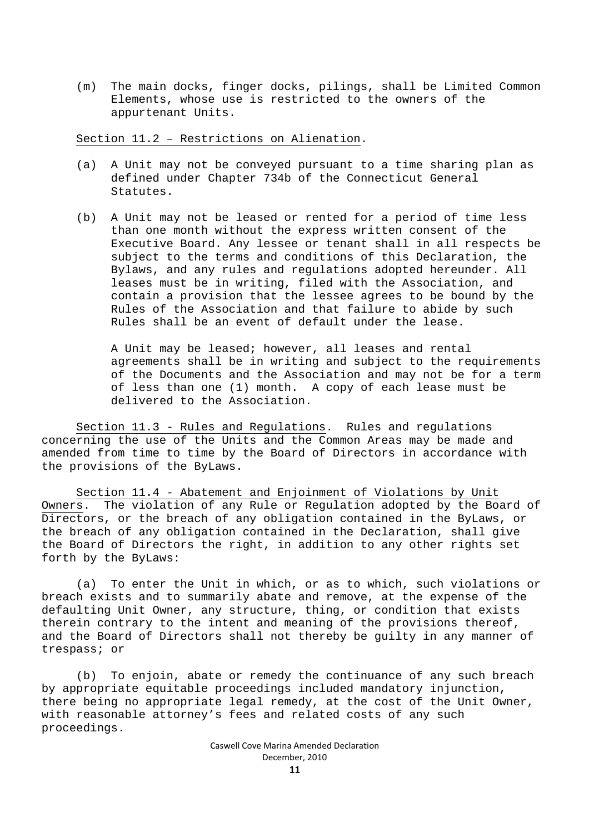(m) The main docks, finger docks, pilings, shall be Limited Common Elements, whose use is restricted to the owners of the appurtenant Units.

Section 11.2 – Restrictions on Alienation.

- (a) A Unit may not be conveyed pursuant to a time sharing plan as defined under Chapter 734b of the Connecticut General Statutes.
- (b) A Unit may not be leased or rented for a period of time less than one month without the express written consent of the Executive Board. Any lessee or tenant shall in all respects be subject to the terms and conditions of this Declaration, the Bylaws, and any rules and regulations adopted hereunder. All leases must be in writing, filed with the Association, and contain a provision that the lessee agrees to be bound by the Rules of the Association and that failure to abide by such Rules shall be an event of default under the lease.

A Unit may be leased; however, all leases and rental agreements shall be in writing and subject to the requirements of the Documents and the Association and may not be for a term of less than one (1) month. A copy of each lease must be delivered to the Association.

Section 11.3 - Rules and Regulations. Rules and regulations concerning the use of the Units and the Common Areas may be made and amended from time to time by the Board of Directors in accordance with the provisions of the ByLaws.

Section 11.4 - Abatement and Enjoinment of Violations by Unit Owners. The violation of any Rule or Regulation adopted by the Board of Directors, or the breach of any obligation contained in the ByLaws, or the breach of any obligation contained in the Declaration, shall give the Board of Directors the right, in addition to any other rights set forth by the ByLaws:

(a) To enter the Unit in which, or as to which, such violations or breach exists and to summarily abate and remove, at the expense of the defaulting Unit Owner, any structure, thing, or condition that exists therein contrary to the intent and meaning of the provisions thereof, and the Board of Directors shall not thereby be guilty in any manner of trespass; or

(b) To enjoin, abate or remedy the continuance of any such breach by appropriate equitable proceedings included mandatory injunction, there being no appropriate legal remedy, at the cost of the Unit Owner, with reasonable attorney's fees and related costs of any such proceedings.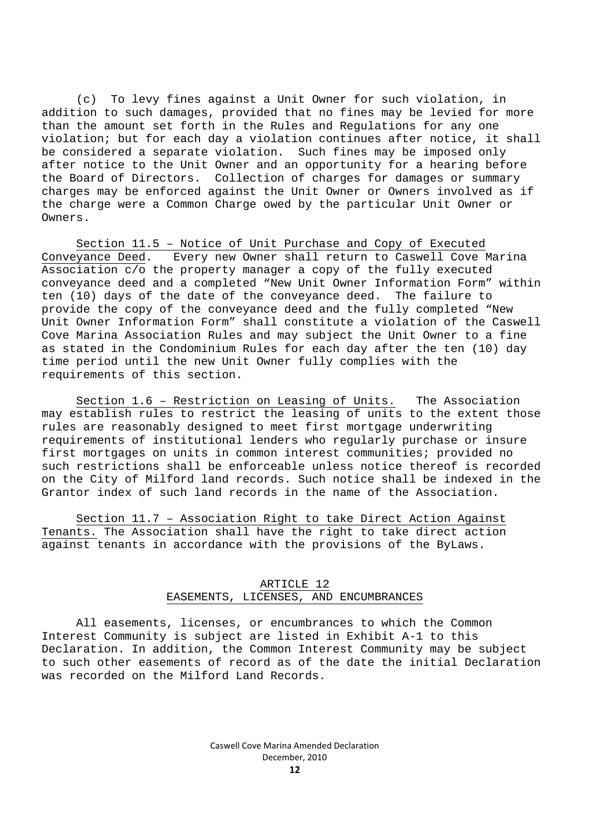(c) To levy fines against a Unit Owner for such violation, in addition to such damages, provided that no fines may be levied for more than the amount set forth in the Rules and Regulations for any one violation; but for each day a violation continues after notice, it shall be considered a separate violation. Such fines may be imposed only after notice to the Unit Owner and an opportunity for a hearing before the Board of Directors. Collection of charges for damages or summary charges may be enforced against the Unit Owner or Owners involved as if the charge were a Common Charge owed by the particular Unit Owner or Owners.

Section 11.5 – Notice of Unit Purchase and Copy of Executed Conveyance Deed. Every new Owner shall return to Caswell Cove Marina Association c/o the property manager a copy of the fully executed conveyance deed and a completed "New Unit Owner Information Form" within ten (10) days of the date of the conveyance deed. The failure to provide the copy of the conveyance deed and the fully completed "New Unit Owner Information Form" shall constitute a violation of the Caswell Cove Marina Association Rules and may subject the Unit Owner to a fine as stated in the Condominium Rules for each day after the ten (10) day time period until the new Unit Owner fully complies with the requirements of this section.

Section 1.6 – Restriction on Leasing of Units. The Association may establish rules to restrict the leasing of units to the extent those rules are reasonably designed to meet first mortgage underwriting requirements of institutional lenders who regularly purchase or insure first mortgages on units in common interest communities; provided no such restrictions shall be enforceable unless notice thereof is recorded on the City of Milford land records. Such notice shall be indexed in the Grantor index of such land records in the name of the Association.

Section 11.7 – Association Right to take Direct Action Against Tenants. The Association shall have the right to take direct action against tenants in accordance with the provisions of the ByLaws.

# ARTICLE 12 EASEMENTS, LICENSES, AND ENCUMBRANCES

All easements, licenses, or encumbrances to which the Common Interest Community is subject are listed in Exhibit A-1 to this Declaration. In addition, the Common Interest Community may be subject to such other easements of record as of the date the initial Declaration was recorded on the Milford Land Records.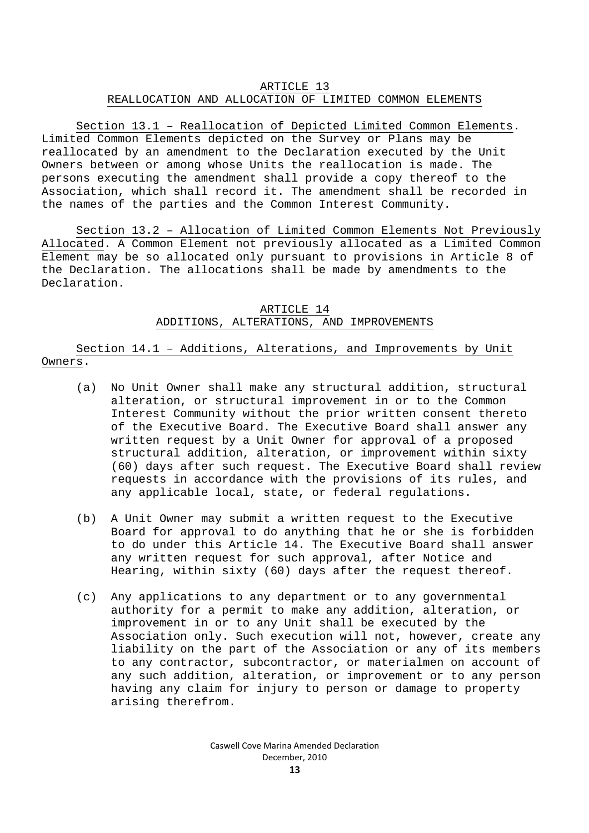### ARTICLE 13 REALLOCATION AND ALLOCATION OF LIMITED COMMON ELEMENTS

Section 13.1 – Reallocation of Depicted Limited Common Elements. Limited Common Elements depicted on the Survey or Plans may be reallocated by an amendment to the Declaration executed by the Unit Owners between or among whose Units the reallocation is made. The persons executing the amendment shall provide a copy thereof to the Association, which shall record it. The amendment shall be recorded in the names of the parties and the Common Interest Community.

Section 13.2 – Allocation of Limited Common Elements Not Previously Allocated. A Common Element not previously allocated as a Limited Common Element may be so allocated only pursuant to provisions in Article 8 of the Declaration. The allocations shall be made by amendments to the Declaration.

### ARTICLE 14 ADDITIONS, ALTERATIONS, AND IMPROVEMENTS

Section 14.1 – Additions, Alterations, and Improvements by Unit Owners.

- (a) No Unit Owner shall make any structural addition, structural alteration, or structural improvement in or to the Common Interest Community without the prior written consent thereto of the Executive Board. The Executive Board shall answer any written request by a Unit Owner for approval of a proposed structural addition, alteration, or improvement within sixty (60) days after such request. The Executive Board shall review requests in accordance with the provisions of its rules, and any applicable local, state, or federal regulations.
- (b) A Unit Owner may submit a written request to the Executive Board for approval to do anything that he or she is forbidden to do under this Article 14. The Executive Board shall answer any written request for such approval, after Notice and Hearing, within sixty (60) days after the request thereof.
- (c) Any applications to any department or to any governmental authority for a permit to make any addition, alteration, or improvement in or to any Unit shall be executed by the Association only. Such execution will not, however, create any liability on the part of the Association or any of its members to any contractor, subcontractor, or materialmen on account of any such addition, alteration, or improvement or to any person having any claim for injury to person or damage to property arising therefrom.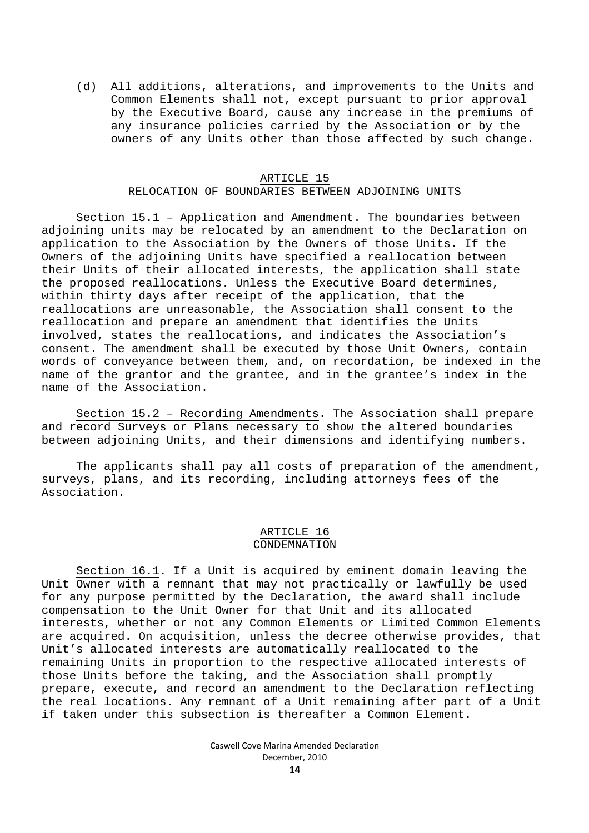(d) All additions, alterations, and improvements to the Units and Common Elements shall not, except pursuant to prior approval by the Executive Board, cause any increase in the premiums of any insurance policies carried by the Association or by the owners of any Units other than those affected by such change.

### ARTICLE 15 RELOCATION OF BOUNDARIES BETWEEN ADJOINING UNITS

Section 15.1 – Application and Amendment. The boundaries between adjoining units may be relocated by an amendment to the Declaration on application to the Association by the Owners of those Units. If the Owners of the adjoining Units have specified a reallocation between their Units of their allocated interests, the application shall state the proposed reallocations. Unless the Executive Board determines, within thirty days after receipt of the application, that the reallocations are unreasonable, the Association shall consent to the reallocation and prepare an amendment that identifies the Units involved, states the reallocations, and indicates the Association's consent. The amendment shall be executed by those Unit Owners, contain words of conveyance between them, and, on recordation, be indexed in the name of the grantor and the grantee, and in the grantee's index in the name of the Association.

Section 15.2 – Recording Amendments. The Association shall prepare and record Surveys or Plans necessary to show the altered boundaries between adjoining Units, and their dimensions and identifying numbers.

The applicants shall pay all costs of preparation of the amendment, surveys, plans, and its recording, including attorneys fees of the Association.

### ARTICLE 16 CONDEMNATION

Section 16.1. If a Unit is acquired by eminent domain leaving the Unit Owner with a remnant that may not practically or lawfully be used for any purpose permitted by the Declaration, the award shall include compensation to the Unit Owner for that Unit and its allocated interests, whether or not any Common Elements or Limited Common Elements are acquired. On acquisition, unless the decree otherwise provides, that Unit's allocated interests are automatically reallocated to the remaining Units in proportion to the respective allocated interests of those Units before the taking, and the Association shall promptly prepare, execute, and record an amendment to the Declaration reflecting the real locations. Any remnant of a Unit remaining after part of a Unit if taken under this subsection is thereafter a Common Element.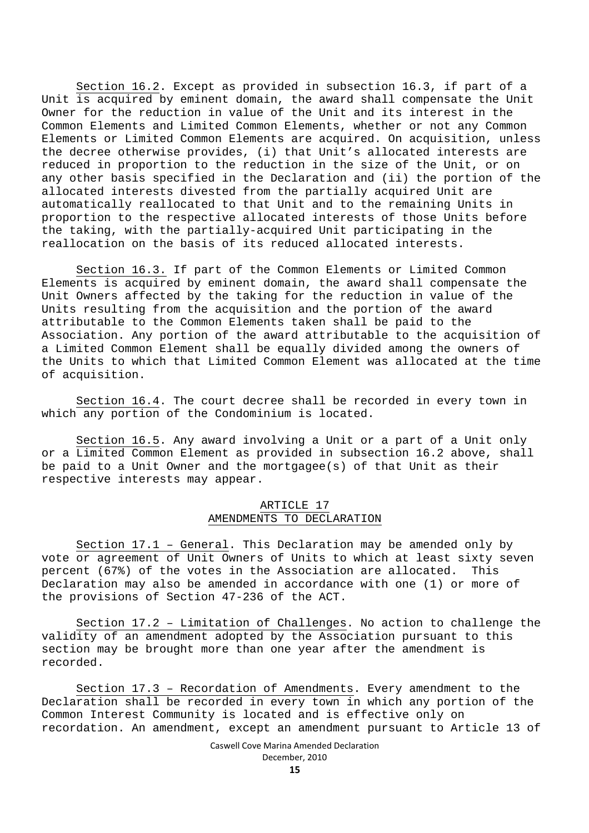Section 16.2. Except as provided in subsection 16.3, if part of a Unit is acquired by eminent domain, the award shall compensate the Unit Owner for the reduction in value of the Unit and its interest in the Common Elements and Limited Common Elements, whether or not any Common Elements or Limited Common Elements are acquired. On acquisition, unless the decree otherwise provides, (i) that Unit's allocated interests are reduced in proportion to the reduction in the size of the Unit, or on any other basis specified in the Declaration and (ii) the portion of the allocated interests divested from the partially acquired Unit are automatically reallocated to that Unit and to the remaining Units in proportion to the respective allocated interests of those Units before the taking, with the partially-acquired Unit participating in the reallocation on the basis of its reduced allocated interests.

Section 16.3. If part of the Common Elements or Limited Common Elements is acquired by eminent domain, the award shall compensate the Unit Owners affected by the taking for the reduction in value of the Units resulting from the acquisition and the portion of the award attributable to the Common Elements taken shall be paid to the Association. Any portion of the award attributable to the acquisition of a Limited Common Element shall be equally divided among the owners of the Units to which that Limited Common Element was allocated at the time of acquisition.

Section 16.4. The court decree shall be recorded in every town in which any portion of the Condominium is located.

Section 16.5. Any award involving a Unit or a part of a Unit only or a Limited Common Element as provided in subsection 16.2 above, shall be paid to a Unit Owner and the mortgagee(s) of that Unit as their respective interests may appear.

### ARTICLE 17 AMENDMENTS TO DECLARATION

Section 17.1 – General. This Declaration may be amended only by vote or agreement of Unit Owners of Units to which at least sixty seven percent (67%) of the votes in the Association are allocated. This Declaration may also be amended in accordance with one (1) or more of the provisions of Section 47-236 of the ACT.

Section 17.2 – Limitation of Challenges. No action to challenge the validity of an amendment adopted by the Association pursuant to this section may be brought more than one year after the amendment is recorded.

Section 17.3 – Recordation of Amendments. Every amendment to the Declaration shall be recorded in every town in which any portion of the Common Interest Community is located and is effective only on recordation. An amendment, except an amendment pursuant to Article 13 of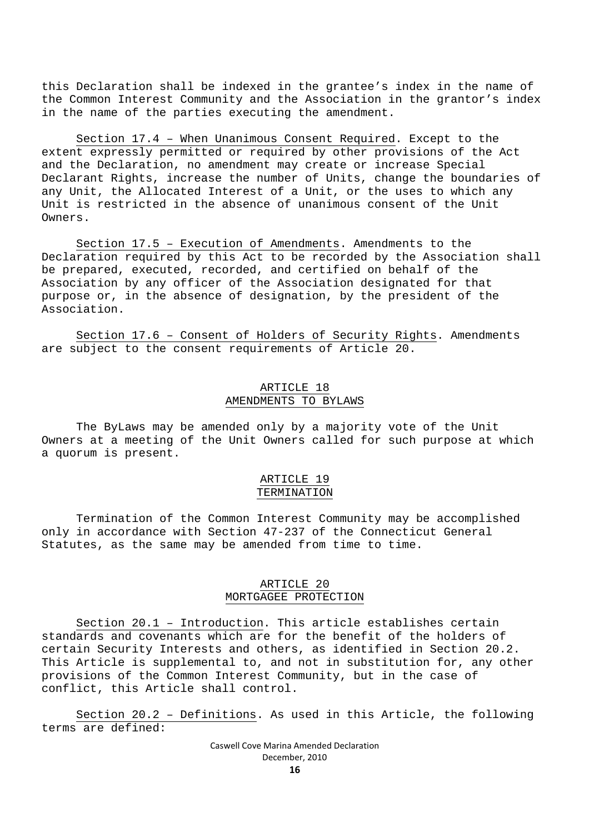this Declaration shall be indexed in the grantee's index in the name of the Common Interest Community and the Association in the grantor's index in the name of the parties executing the amendment.

Section 17.4 – When Unanimous Consent Required. Except to the extent expressly permitted or required by other provisions of the Act and the Declaration, no amendment may create or increase Special Declarant Rights, increase the number of Units, change the boundaries of any Unit, the Allocated Interest of a Unit, or the uses to which any Unit is restricted in the absence of unanimous consent of the Unit Owners.

Section 17.5 – Execution of Amendments. Amendments to the Declaration required by this Act to be recorded by the Association shall be prepared, executed, recorded, and certified on behalf of the Association by any officer of the Association designated for that purpose or, in the absence of designation, by the president of the Association.

Section 17.6 – Consent of Holders of Security Rights. Amendments are subject to the consent requirements of Article 20.

### ARTICLE 18 AMENDMENTS TO BYLAWS

The ByLaws may be amended only by a majority vote of the Unit Owners at a meeting of the Unit Owners called for such purpose at which a quorum is present.

### ARTICLE 19 TERMINATION

Termination of the Common Interest Community may be accomplished only in accordance with Section 47-237 of the Connecticut General Statutes, as the same may be amended from time to time.

### ARTICLE 20 MORTGAGEE PROTECTION

Section 20.1 – Introduction. This article establishes certain standards and covenants which are for the benefit of the holders of certain Security Interests and others, as identified in Section 20.2. This Article is supplemental to, and not in substitution for, any other provisions of the Common Interest Community, but in the case of conflict, this Article shall control.

Section 20.2 – Definitions. As used in this Article, the following terms are defined: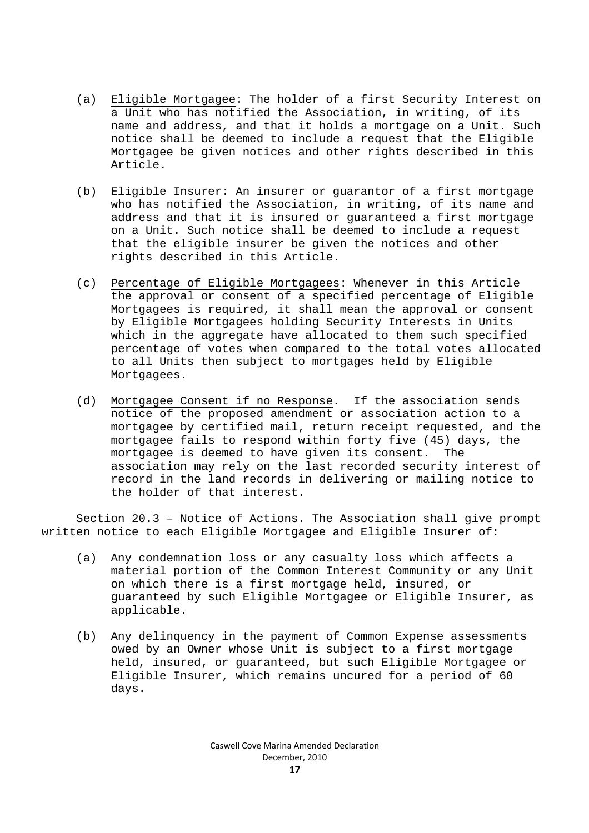- (a) Eligible Mortgagee: The holder of a first Security Interest on a Unit who has notified the Association, in writing, of its name and address, and that it holds a mortgage on a Unit. Such notice shall be deemed to include a request that the Eligible Mortgagee be given notices and other rights described in this Article.
- (b) Eligible Insurer: An insurer or guarantor of a first mortgage who has notified the Association, in writing, of its name and address and that it is insured or guaranteed a first mortgage on a Unit. Such notice shall be deemed to include a request that the eligible insurer be given the notices and other rights described in this Article.
- (c) Percentage of Eligible Mortgagees: Whenever in this Article the approval or consent of a specified percentage of Eligible Mortgagees is required, it shall mean the approval or consent by Eligible Mortgagees holding Security Interests in Units which in the aggregate have allocated to them such specified percentage of votes when compared to the total votes allocated to all Units then subject to mortgages held by Eligible Mortgagees.
- (d) Mortgagee Consent if no Response. If the association sends notice of the proposed amendment or association action to a mortgagee by certified mail, return receipt requested, and the mortgagee fails to respond within forty five (45) days, the mortgagee is deemed to have given its consent. The association may rely on the last recorded security interest of record in the land records in delivering or mailing notice to the holder of that interest.

Section 20.3 – Notice of Actions. The Association shall give prompt written notice to each Eligible Mortgagee and Eligible Insurer of:

- (a) Any condemnation loss or any casualty loss which affects a material portion of the Common Interest Community or any Unit on which there is a first mortgage held, insured, or guaranteed by such Eligible Mortgagee or Eligible Insurer, as applicable.
- (b) Any delinquency in the payment of Common Expense assessments owed by an Owner whose Unit is subject to a first mortgage held, insured, or guaranteed, but such Eligible Mortgagee or Eligible Insurer, which remains uncured for a period of 60 days.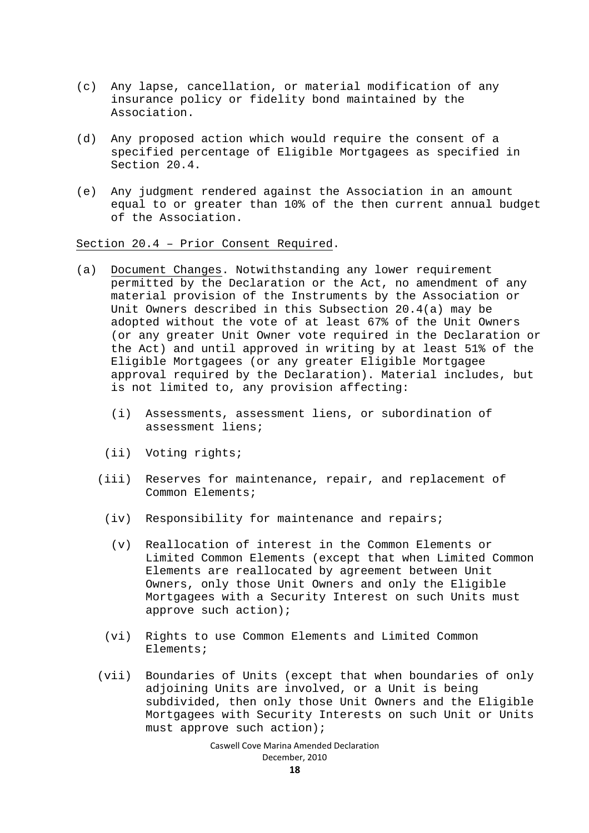- (c) Any lapse, cancellation, or material modification of any insurance policy or fidelity bond maintained by the Association.
- (d) Any proposed action which would require the consent of a specified percentage of Eligible Mortgagees as specified in Section 20.4.
- (e) Any judgment rendered against the Association in an amount equal to or greater than 10% of the then current annual budget of the Association.

### Section 20.4 – Prior Consent Required.

- (a) Document Changes. Notwithstanding any lower requirement permitted by the Declaration or the Act, no amendment of any material provision of the Instruments by the Association or Unit Owners described in this Subsection 20.4(a) may be adopted without the vote of at least 67% of the Unit Owners (or any greater Unit Owner vote required in the Declaration or the Act) and until approved in writing by at least 51% of the Eligible Mortgagees (or any greater Eligible Mortgagee approval required by the Declaration). Material includes, but is not limited to, any provision affecting:
	- (i) Assessments, assessment liens, or subordination of assessment liens;
	- (ii) Voting rights;
	- (iii) Reserves for maintenance, repair, and replacement of Common Elements;
		- (iv) Responsibility for maintenance and repairs;
		- (v) Reallocation of interest in the Common Elements or Limited Common Elements (except that when Limited Common Elements are reallocated by agreement between Unit Owners, only those Unit Owners and only the Eligible Mortgagees with a Security Interest on such Units must approve such action);
		- (vi) Rights to use Common Elements and Limited Common Elements;
	- (vii) Boundaries of Units (except that when boundaries of only adjoining Units are involved, or a Unit is being subdivided, then only those Unit Owners and the Eligible Mortgagees with Security Interests on such Unit or Units must approve such action);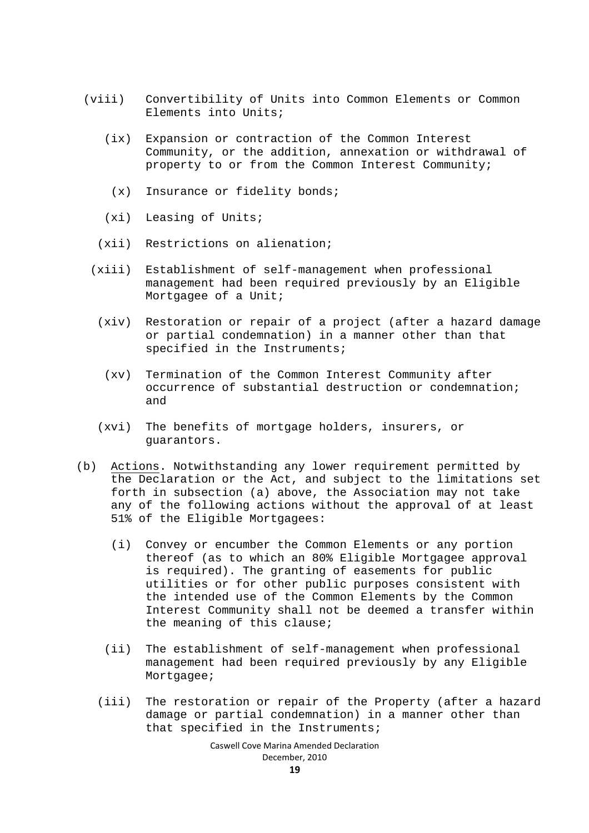- (viii) Convertibility of Units into Common Elements or Common Elements into Units;
	- (ix) Expansion or contraction of the Common Interest Community, or the addition, annexation or withdrawal of property to or from the Common Interest Community;
	- (x) Insurance or fidelity bonds;
	- (xi) Leasing of Units;
	- (xii) Restrictions on alienation;
	- (xiii) Establishment of self-management when professional management had been required previously by an Eligible Mortgagee of a Unit;
		- (xiv) Restoration or repair of a project (after a hazard damage or partial condemnation) in a manner other than that specified in the Instruments;
			- (xv) Termination of the Common Interest Community after occurrence of substantial destruction or condemnation; and
		- (xvi) The benefits of mortgage holders, insurers, or guarantors.
- (b) Actions. Notwithstanding any lower requirement permitted by the Declaration or the Act, and subject to the limitations set forth in subsection (a) above, the Association may not take any of the following actions without the approval of at least 51% of the Eligible Mortgagees:
	- (i) Convey or encumber the Common Elements or any portion thereof (as to which an 80% Eligible Mortgagee approval is required). The granting of easements for public utilities or for other public purposes consistent with the intended use of the Common Elements by the Common Interest Community shall not be deemed a transfer within the meaning of this clause;
	- (ii) The establishment of self-management when professional management had been required previously by any Eligible Mortgagee;
	- (iii) The restoration or repair of the Property (after a hazard damage or partial condemnation) in a manner other than that specified in the Instruments;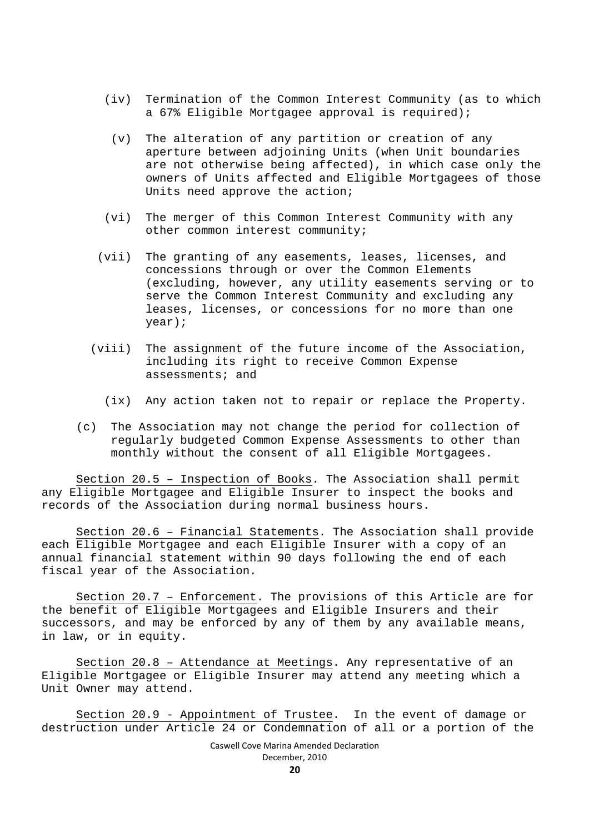- (iv) Termination of the Common Interest Community (as to which a 67% Eligible Mortgagee approval is required);
- (v) The alteration of any partition or creation of any aperture between adjoining Units (when Unit boundaries are not otherwise being affected), in which case only the owners of Units affected and Eligible Mortgagees of those Units need approve the action;
- (vi) The merger of this Common Interest Community with any other common interest community;
- (vii) The granting of any easements, leases, licenses, and concessions through or over the Common Elements (excluding, however, any utility easements serving or to serve the Common Interest Community and excluding any leases, licenses, or concessions for no more than one year);
- (viii) The assignment of the future income of the Association, including its right to receive Common Expense assessments; and
	- (ix) Any action taken not to repair or replace the Property.
- (c) The Association may not change the period for collection of regularly budgeted Common Expense Assessments to other than monthly without the consent of all Eligible Mortgagees.

Section 20.5 – Inspection of Books. The Association shall permit any Eligible Mortgagee and Eligible Insurer to inspect the books and records of the Association during normal business hours.

Section 20.6 – Financial Statements. The Association shall provide each Eligible Mortgagee and each Eligible Insurer with a copy of an annual financial statement within 90 days following the end of each fiscal year of the Association.

Section 20.7 – Enforcement. The provisions of this Article are for the benefit of Eligible Mortgagees and Eligible Insurers and their successors, and may be enforced by any of them by any available means, in law, or in equity.

Section 20.8 – Attendance at Meetings. Any representative of an Eligible Mortgagee or Eligible Insurer may attend any meeting which a Unit Owner may attend.

Section 20.9 - Appointment of Trustee. In the event of damage or destruction under Article 24 or Condemnation of all or a portion of the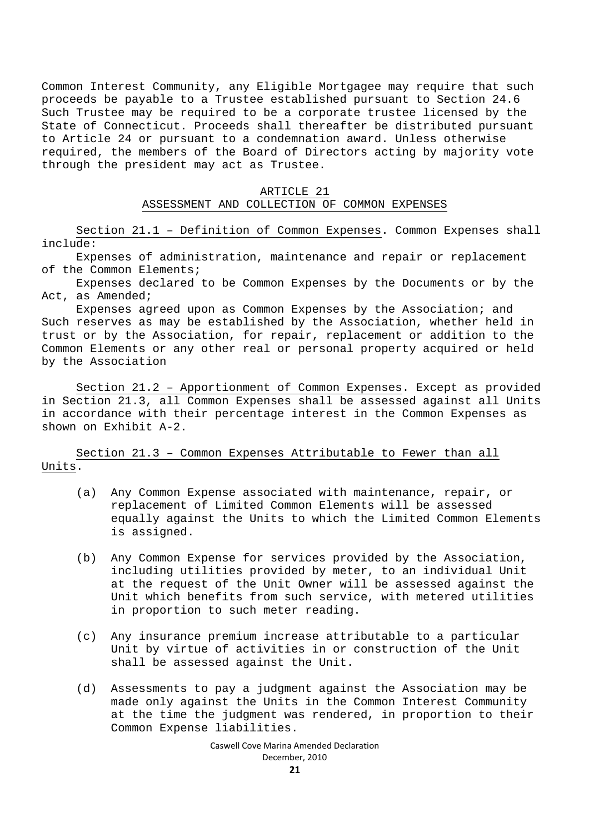Common Interest Community, any Eligible Mortgagee may require that such proceeds be payable to a Trustee established pursuant to Section 24.6 Such Trustee may be required to be a corporate trustee licensed by the State of Connecticut. Proceeds shall thereafter be distributed pursuant to Article 24 or pursuant to a condemnation award. Unless otherwise required, the members of the Board of Directors acting by majority vote through the president may act as Trustee.

#### ARTICLE 21 ASSESSMENT AND COLLECTION OF COMMON EXPENSES

Section 21.1 – Definition of Common Expenses. Common Expenses shall include:

Expenses of administration, maintenance and repair or replacement of the Common Elements;

Expenses declared to be Common Expenses by the Documents or by the Act, as Amended;

Expenses agreed upon as Common Expenses by the Association; and Such reserves as may be established by the Association, whether held in trust or by the Association, for repair, replacement or addition to the Common Elements or any other real or personal property acquired or held by the Association

Section 21.2 – Apportionment of Common Expenses. Except as provided in Section 21.3, all Common Expenses shall be assessed against all Units in accordance with their percentage interest in the Common Expenses as shown on Exhibit A-2.

Section 21.3 – Common Expenses Attributable to Fewer than all Units.

- (a) Any Common Expense associated with maintenance, repair, or replacement of Limited Common Elements will be assessed equally against the Units to which the Limited Common Elements is assigned.
- (b) Any Common Expense for services provided by the Association, including utilities provided by meter, to an individual Unit at the request of the Unit Owner will be assessed against the Unit which benefits from such service, with metered utilities in proportion to such meter reading.
- (c) Any insurance premium increase attributable to a particular Unit by virtue of activities in or construction of the Unit shall be assessed against the Unit.
- (d) Assessments to pay a judgment against the Association may be made only against the Units in the Common Interest Community at the time the judgment was rendered, in proportion to their Common Expense liabilities.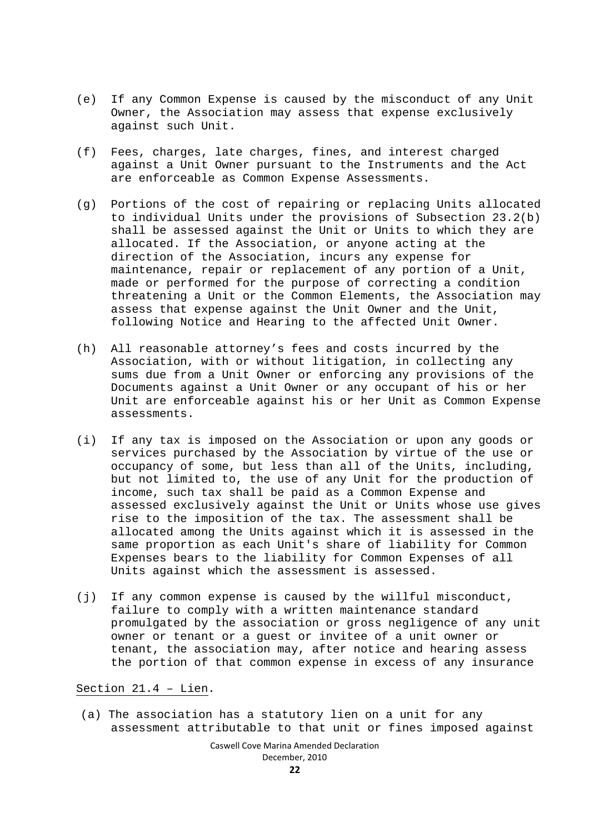- (e) If any Common Expense is caused by the misconduct of any Unit Owner, the Association may assess that expense exclusively against such Unit.
- (f) Fees, charges, late charges, fines, and interest charged against a Unit Owner pursuant to the Instruments and the Act are enforceable as Common Expense Assessments.
- (g) Portions of the cost of repairing or replacing Units allocated to individual Units under the provisions of Subsection 23.2(b) shall be assessed against the Unit or Units to which they are allocated. If the Association, or anyone acting at the direction of the Association, incurs any expense for maintenance, repair or replacement of any portion of a Unit, made or performed for the purpose of correcting a condition threatening a Unit or the Common Elements, the Association may assess that expense against the Unit Owner and the Unit, following Notice and Hearing to the affected Unit Owner.
- (h) All reasonable attorney's fees and costs incurred by the Association, with or without litigation, in collecting any sums due from a Unit Owner or enforcing any provisions of the Documents against a Unit Owner or any occupant of his or her Unit are enforceable against his or her Unit as Common Expense assessments.
- (i) If any tax is imposed on the Association or upon any goods or services purchased by the Association by virtue of the use or occupancy of some, but less than all of the Units, including, but not limited to, the use of any Unit for the production of income, such tax shall be paid as a Common Expense and assessed exclusively against the Unit or Units whose use gives rise to the imposition of the tax. The assessment shall be allocated among the Units against which it is assessed in the same proportion as each Unit's share of liability for Common Expenses bears to the liability for Common Expenses of all Units against which the assessment is assessed.
- (j) If any common expense is caused by the willful misconduct, failure to comply with a written maintenance standard promulgated by the association or gross negligence of any unit owner or tenant or a guest or invitee of a unit owner or tenant, the association may, after notice and hearing assess the portion of that common expense in excess of any insurance

Section 21.4 – Lien.

(a) The association has a statutory lien on a unit for any assessment attributable to that unit or fines imposed against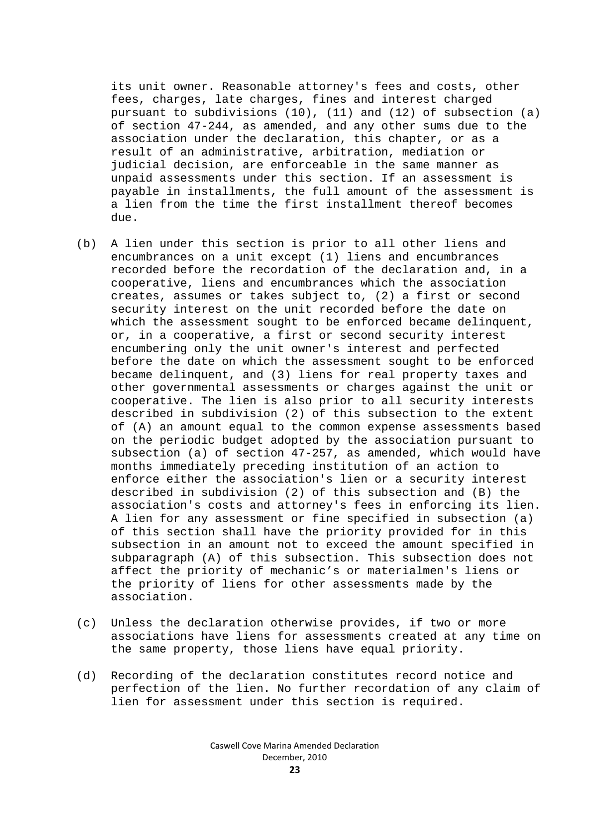its unit owner. Reasonable attorney's fees and costs, other fees, charges, late charges, fines and interest charged pursuant to subdivisions (10), (11) and (12) of subsection (a) of section 47-244, as amended, and any other sums due to the association under the declaration, this chapter, or as a result of an administrative, arbitration, mediation or judicial decision, are enforceable in the same manner as unpaid assessments under this section. If an assessment is payable in installments, the full amount of the assessment is a lien from the time the first installment thereof becomes due.

- (b) A lien under this section is prior to all other liens and encumbrances on a unit except (1) liens and encumbrances recorded before the recordation of the declaration and, in a cooperative, liens and encumbrances which the association creates, assumes or takes subject to, (2) a first or second security interest on the unit recorded before the date on which the assessment sought to be enforced became delinquent, or, in a cooperative, a first or second security interest encumbering only the unit owner's interest and perfected before the date on which the assessment sought to be enforced became delinquent, and (3) liens for real property taxes and other governmental assessments or charges against the unit or cooperative. The lien is also prior to all security interests described in subdivision (2) of this subsection to the extent of (A) an amount equal to the common expense assessments based on the periodic budget adopted by the association pursuant to subsection (a) of section 47-257, as amended, which would have months immediately preceding institution of an action to enforce either the association's lien or a security interest described in subdivision (2) of this subsection and (B) the association's costs and attorney's fees in enforcing its lien. A lien for any assessment or fine specified in subsection (a) of this section shall have the priority provided for in this subsection in an amount not to exceed the amount specified in subparagraph (A) of this subsection. This subsection does not affect the priority of mechanic's or materialmen's liens or the priority of liens for other assessments made by the association.
- (c) Unless the declaration otherwise provides, if two or more associations have liens for assessments created at any time on the same property, those liens have equal priority.
- (d) Recording of the declaration constitutes record notice and perfection of the lien. No further recordation of any claim of lien for assessment under this section is required.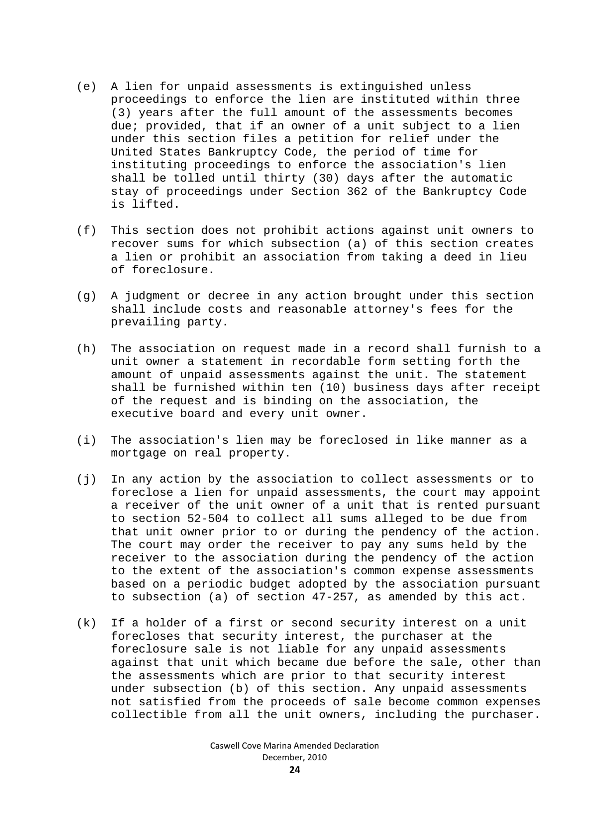- (e) A lien for unpaid assessments is extinguished unless proceedings to enforce the lien are instituted within three (3) years after the full amount of the assessments becomes due; provided, that if an owner of a unit subject to a lien under this section files a petition for relief under the United States Bankruptcy Code, the period of time for instituting proceedings to enforce the association's lien shall be tolled until thirty (30) days after the automatic stay of proceedings under Section 362 of the Bankruptcy Code is lifted.
- (f) This section does not prohibit actions against unit owners to recover sums for which subsection (a) of this section creates a lien or prohibit an association from taking a deed in lieu of foreclosure.
- (g) A judgment or decree in any action brought under this section shall include costs and reasonable attorney's fees for the prevailing party.
- (h) The association on request made in a record shall furnish to a unit owner a statement in recordable form setting forth the amount of unpaid assessments against the unit. The statement shall be furnished within ten (10) business days after receipt of the request and is binding on the association, the executive board and every unit owner.
- (i) The association's lien may be foreclosed in like manner as a mortgage on real property.
- (j) In any action by the association to collect assessments or to foreclose a lien for unpaid assessments, the court may appoint a receiver of the unit owner of a unit that is rented pursuant to section 52-504 to collect all sums alleged to be due from that unit owner prior to or during the pendency of the action. The court may order the receiver to pay any sums held by the receiver to the association during the pendency of the action to the extent of the association's common expense assessments based on a periodic budget adopted by the association pursuant to subsection (a) of section 47-257, as amended by this act.
- (k) If a holder of a first or second security interest on a unit forecloses that security interest, the purchaser at the foreclosure sale is not liable for any unpaid assessments against that unit which became due before the sale, other than the assessments which are prior to that security interest under subsection (b) of this section. Any unpaid assessments not satisfied from the proceeds of sale become common expenses collectible from all the unit owners, including the purchaser.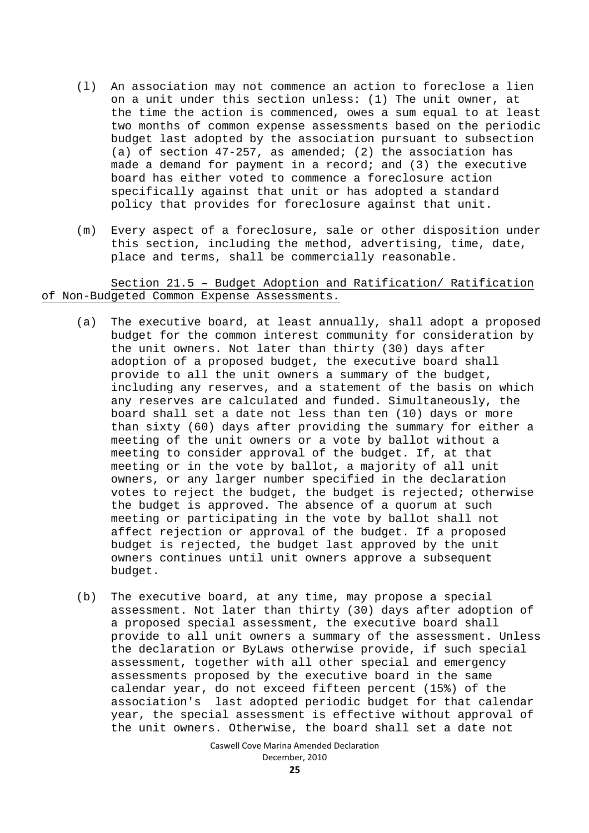- (l) An association may not commence an action to foreclose a lien on a unit under this section unless: (1) The unit owner, at the time the action is commenced, owes a sum equal to at least two months of common expense assessments based on the periodic budget last adopted by the association pursuant to subsection (a) of section 47-257, as amended; (2) the association has made a demand for payment in a record; and (3) the executive board has either voted to commence a foreclosure action specifically against that unit or has adopted a standard policy that provides for foreclosure against that unit.
- (m) Every aspect of a foreclosure, sale or other disposition under this section, including the method, advertising, time, date, place and terms, shall be commercially reasonable.

Section 21.5 – Budget Adoption and Ratification/ Ratification of Non-Budgeted Common Expense Assessments.

- (a) The executive board, at least annually, shall adopt a proposed budget for the common interest community for consideration by the unit owners. Not later than thirty (30) days after adoption of a proposed budget, the executive board shall provide to all the unit owners a summary of the budget, including any reserves, and a statement of the basis on which any reserves are calculated and funded. Simultaneously, the board shall set a date not less than ten (10) days or more than sixty (60) days after providing the summary for either a meeting of the unit owners or a vote by ballot without a meeting to consider approval of the budget. If, at that meeting or in the vote by ballot, a majority of all unit owners, or any larger number specified in the declaration votes to reject the budget, the budget is rejected; otherwise the budget is approved. The absence of a quorum at such meeting or participating in the vote by ballot shall not affect rejection or approval of the budget. If a proposed budget is rejected, the budget last approved by the unit owners continues until unit owners approve a subsequent budget.
- (b) The executive board, at any time, may propose a special assessment. Not later than thirty (30) days after adoption of a proposed special assessment, the executive board shall provide to all unit owners a summary of the assessment. Unless the declaration or ByLaws otherwise provide, if such special assessment, together with all other special and emergency assessments proposed by the executive board in the same calendar year, do not exceed fifteen percent (15%) of the association's last adopted periodic budget for that calendar year, the special assessment is effective without approval of the unit owners. Otherwise, the board shall set a date not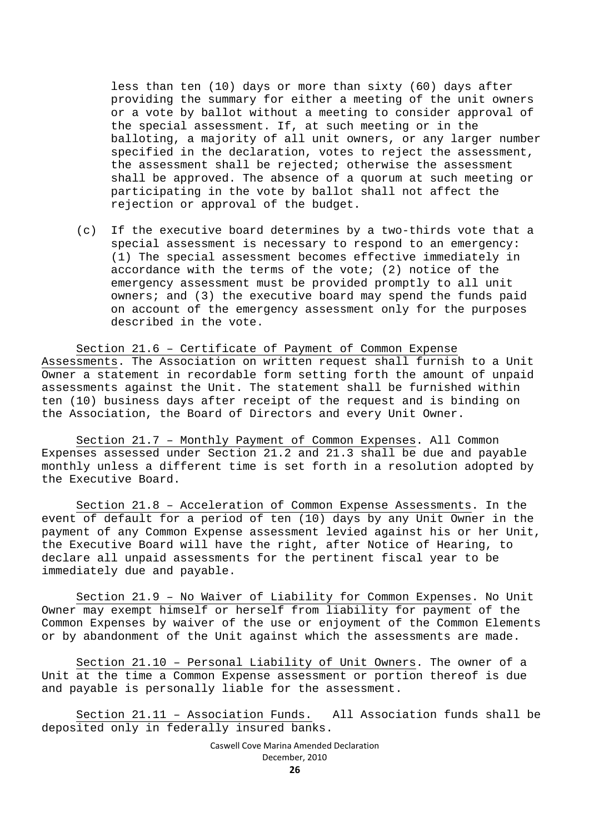less than ten (10) days or more than sixty (60) days after providing the summary for either a meeting of the unit owners or a vote by ballot without a meeting to consider approval of the special assessment. If, at such meeting or in the balloting, a majority of all unit owners, or any larger number specified in the declaration, votes to reject the assessment, the assessment shall be rejected; otherwise the assessment shall be approved. The absence of a quorum at such meeting or participating in the vote by ballot shall not affect the rejection or approval of the budget.

(c) If the executive board determines by a two-thirds vote that a special assessment is necessary to respond to an emergency: (1) The special assessment becomes effective immediately in accordance with the terms of the vote; (2) notice of the emergency assessment must be provided promptly to all unit owners; and (3) the executive board may spend the funds paid on account of the emergency assessment only for the purposes described in the vote.

Section 21.6 – Certificate of Payment of Common Expense Assessments. The Association on written request shall furnish to a Unit Owner a statement in recordable form setting forth the amount of unpaid assessments against the Unit. The statement shall be furnished within ten (10) business days after receipt of the request and is binding on the Association, the Board of Directors and every Unit Owner.

Section 21.7 – Monthly Payment of Common Expenses. All Common Expenses assessed under Section 21.2 and 21.3 shall be due and payable monthly unless a different time is set forth in a resolution adopted by the Executive Board.

Section 21.8 – Acceleration of Common Expense Assessments. In the event of default for a period of ten (10) days by any Unit Owner in the payment of any Common Expense assessment levied against his or her Unit, the Executive Board will have the right, after Notice of Hearing, to declare all unpaid assessments for the pertinent fiscal year to be immediately due and payable.

Section 21.9 – No Waiver of Liability for Common Expenses. No Unit Owner may exempt himself or herself from liability for payment of the Common Expenses by waiver of the use or enjoyment of the Common Elements or by abandonment of the Unit against which the assessments are made.

Section 21.10 – Personal Liability of Unit Owners. The owner of a Unit at the time a Common Expense assessment or portion thereof is due and payable is personally liable for the assessment.

Section 21.11 – Association Funds. All Association funds shall be deposited only in federally insured banks.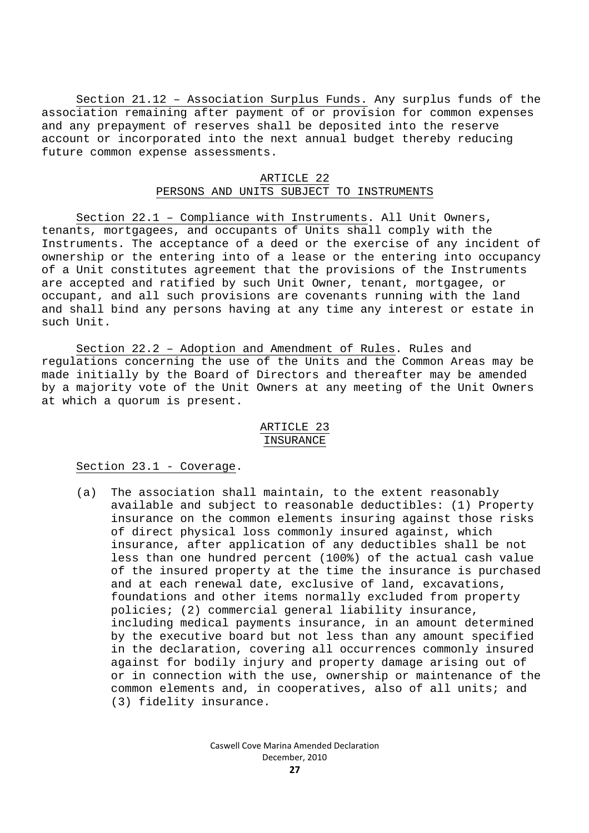Section 21.12 – Association Surplus Funds. Any surplus funds of the association remaining after payment of or provision for common expenses and any prepayment of reserves shall be deposited into the reserve account or incorporated into the next annual budget thereby reducing future common expense assessments.

### ARTICLE 22 PERSONS AND UNITS SUBJECT TO INSTRUMENTS

Section 22.1 – Compliance with Instruments. All Unit Owners, tenants, mortgagees, and occupants of Units shall comply with the Instruments. The acceptance of a deed or the exercise of any incident of ownership or the entering into of a lease or the entering into occupancy of a Unit constitutes agreement that the provisions of the Instruments are accepted and ratified by such Unit Owner, tenant, mortgagee, or occupant, and all such provisions are covenants running with the land and shall bind any persons having at any time any interest or estate in such Unit.

Section 22.2 – Adoption and Amendment of Rules. Rules and regulations concerning the use of the Units and the Common Areas may be made initially by the Board of Directors and thereafter may be amended by a majority vote of the Unit Owners at any meeting of the Unit Owners at which a quorum is present.

### ARTICLE 23 INSURANCE

Section 23.1 - Coverage.

(a) The association shall maintain, to the extent reasonably available and subject to reasonable deductibles: (1) Property insurance on the common elements insuring against those risks of direct physical loss commonly insured against, which insurance, after application of any deductibles shall be not less than one hundred percent (100%) of the actual cash value of the insured property at the time the insurance is purchased and at each renewal date, exclusive of land, excavations, foundations and other items normally excluded from property policies; (2) commercial general liability insurance, including medical payments insurance, in an amount determined by the executive board but not less than any amount specified in the declaration, covering all occurrences commonly insured against for bodily injury and property damage arising out of or in connection with the use, ownership or maintenance of the common elements and, in cooperatives, also of all units; and (3) fidelity insurance.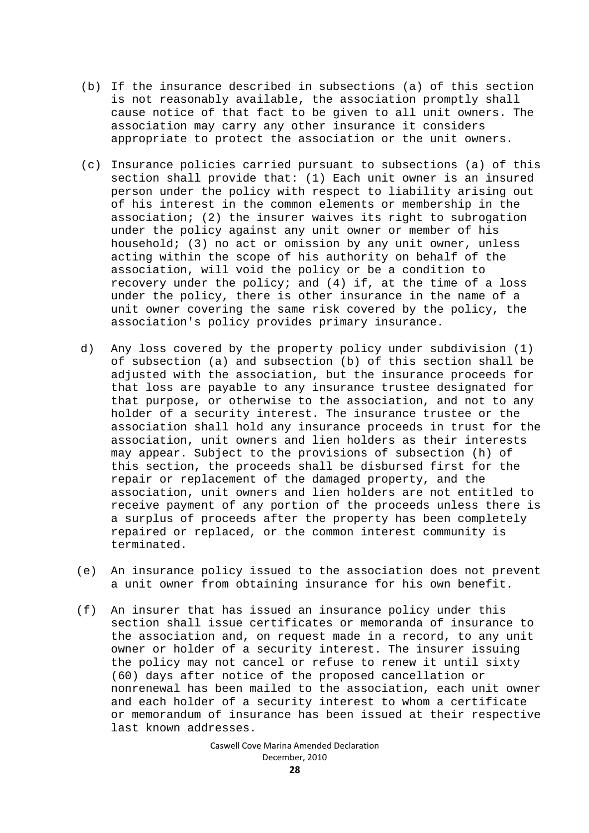- (b) If the insurance described in subsections (a) of this section is not reasonably available, the association promptly shall cause notice of that fact to be given to all unit owners. The association may carry any other insurance it considers appropriate to protect the association or the unit owners.
- (c) Insurance policies carried pursuant to subsections (a) of this section shall provide that: (1) Each unit owner is an insured person under the policy with respect to liability arising out of his interest in the common elements or membership in the association; (2) the insurer waives its right to subrogation under the policy against any unit owner or member of his household; (3) no act or omission by any unit owner, unless acting within the scope of his authority on behalf of the association, will void the policy or be a condition to recovery under the policy; and (4) if, at the time of a loss under the policy, there is other insurance in the name of a unit owner covering the same risk covered by the policy, the association's policy provides primary insurance.
- d) Any loss covered by the property policy under subdivision (1) of subsection (a) and subsection (b) of this section shall be adjusted with the association, but the insurance proceeds for that loss are payable to any insurance trustee designated for that purpose, or otherwise to the association, and not to any holder of a security interest. The insurance trustee or the association shall hold any insurance proceeds in trust for the association, unit owners and lien holders as their interests may appear. Subject to the provisions of subsection (h) of this section, the proceeds shall be disbursed first for the repair or replacement of the damaged property, and the association, unit owners and lien holders are not entitled to receive payment of any portion of the proceeds unless there is a surplus of proceeds after the property has been completely repaired or replaced, or the common interest community is terminated.
- (e) An insurance policy issued to the association does not prevent a unit owner from obtaining insurance for his own benefit.
- (f) An insurer that has issued an insurance policy under this section shall issue certificates or memoranda of insurance to the association and, on request made in a record, to any unit owner or holder of a security interest. The insurer issuing the policy may not cancel or refuse to renew it until sixty (60) days after notice of the proposed cancellation or nonrenewal has been mailed to the association, each unit owner and each holder of a security interest to whom a certificate or memorandum of insurance has been issued at their respective last known addresses.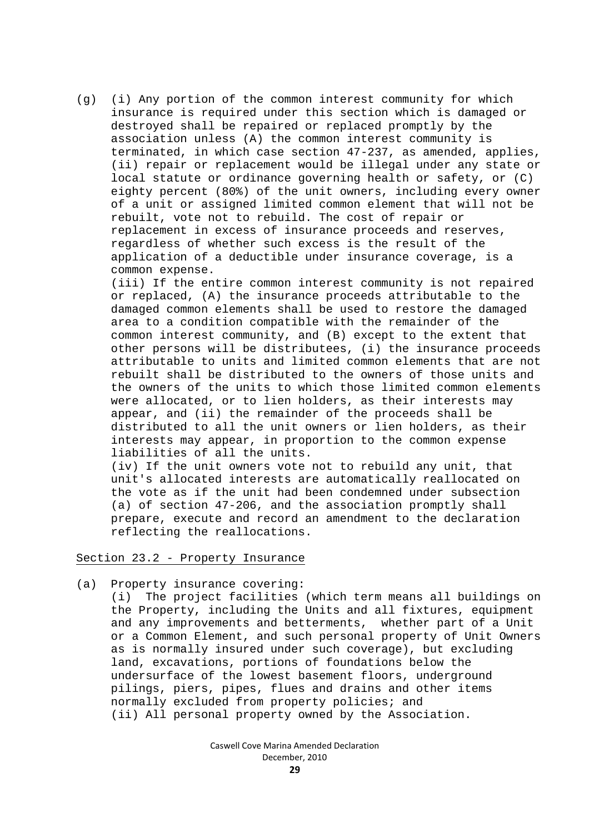(g) (i) Any portion of the common interest community for which insurance is required under this section which is damaged or destroyed shall be repaired or replaced promptly by the association unless (A) the common interest community is terminated, in which case section 47-237, as amended, applies, (ii) repair or replacement would be illegal under any state or local statute or ordinance governing health or safety, or (C) eighty percent (80%) of the unit owners, including every owner of a unit or assigned limited common element that will not be rebuilt, vote not to rebuild. The cost of repair or replacement in excess of insurance proceeds and reserves, regardless of whether such excess is the result of the application of a deductible under insurance coverage, is a common expense.

(iii) If the entire common interest community is not repaired or replaced, (A) the insurance proceeds attributable to the damaged common elements shall be used to restore the damaged area to a condition compatible with the remainder of the common interest community, and (B) except to the extent that other persons will be distributees, (i) the insurance proceeds attributable to units and limited common elements that are not rebuilt shall be distributed to the owners of those units and the owners of the units to which those limited common elements were allocated, or to lien holders, as their interests may appear, and (ii) the remainder of the proceeds shall be distributed to all the unit owners or lien holders, as their interests may appear, in proportion to the common expense liabilities of all the units.

(iv) If the unit owners vote not to rebuild any unit, that unit's allocated interests are automatically reallocated on the vote as if the unit had been condemned under subsection (a) of section 47-206, and the association promptly shall prepare, execute and record an amendment to the declaration reflecting the reallocations.

Section 23.2 - Property Insurance

(a) Property insurance covering:

(i) The project facilities (which term means all buildings on the Property, including the Units and all fixtures, equipment and any improvements and betterments, whether part of a Unit or a Common Element, and such personal property of Unit Owners as is normally insured under such coverage), but excluding land, excavations, portions of foundations below the undersurface of the lowest basement floors, underground pilings, piers, pipes, flues and drains and other items normally excluded from property policies; and (ii) All personal property owned by the Association.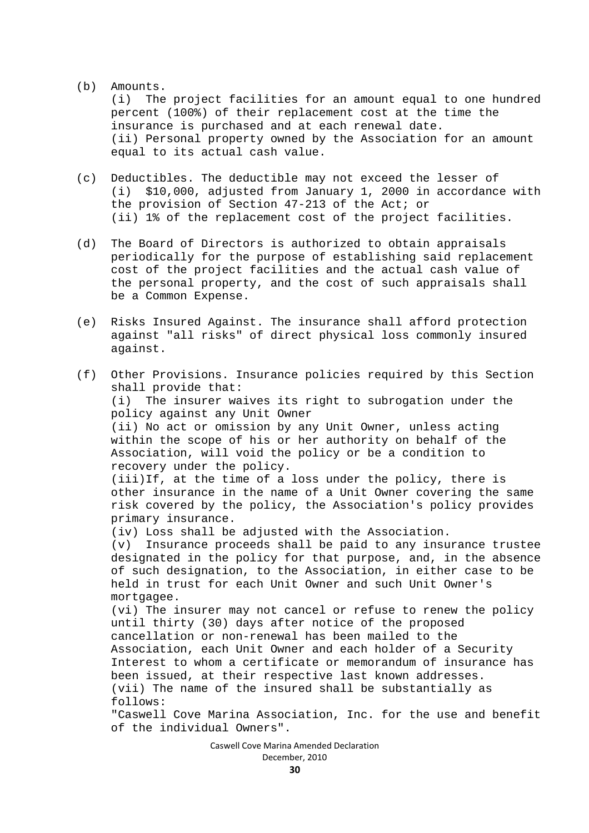(b) Amounts.

(i) The project facilities for an amount equal to one hundred percent (100%) of their replacement cost at the time the insurance is purchased and at each renewal date. (ii) Personal property owned by the Association for an amount equal to its actual cash value.

- (c) Deductibles. The deductible may not exceed the lesser of (i) \$10,000, adjusted from January 1, 2000 in accordance with the provision of Section 47-213 of the Act; or (ii) 1% of the replacement cost of the project facilities.
- (d) The Board of Directors is authorized to obtain appraisals periodically for the purpose of establishing said replacement cost of the project facilities and the actual cash value of the personal property, and the cost of such appraisals shall be a Common Expense.
- (e) Risks Insured Against. The insurance shall afford protection against "all risks" of direct physical loss commonly insured against.
- (f) Other Provisions. Insurance policies required by this Section shall provide that: (i) The insurer waives its right to subrogation under the policy against any Unit Owner (ii) No act or omission by any Unit Owner, unless acting within the scope of his or her authority on behalf of the Association, will void the policy or be a condition to recovery under the policy. (iii)If, at the time of a loss under the policy, there is other insurance in the name of a Unit Owner covering the same risk covered by the policy, the Association's policy provides primary insurance. (iv) Loss shall be adjusted with the Association. (v) Insurance proceeds shall be paid to any insurance trustee designated in the policy for that purpose, and, in the absence of such designation, to the Association, in either case to be held in trust for each Unit Owner and such Unit Owner's mortgagee. (vi) The insurer may not cancel or refuse to renew the policy until thirty (30) days after notice of the proposed cancellation or non-renewal has been mailed to the Association, each Unit Owner and each holder of a Security Interest to whom a certificate or memorandum of insurance has been issued, at their respective last known addresses. (vii) The name of the insured shall be substantially as follows: "Caswell Cove Marina Association, Inc. for the use and benefit of the individual Owners".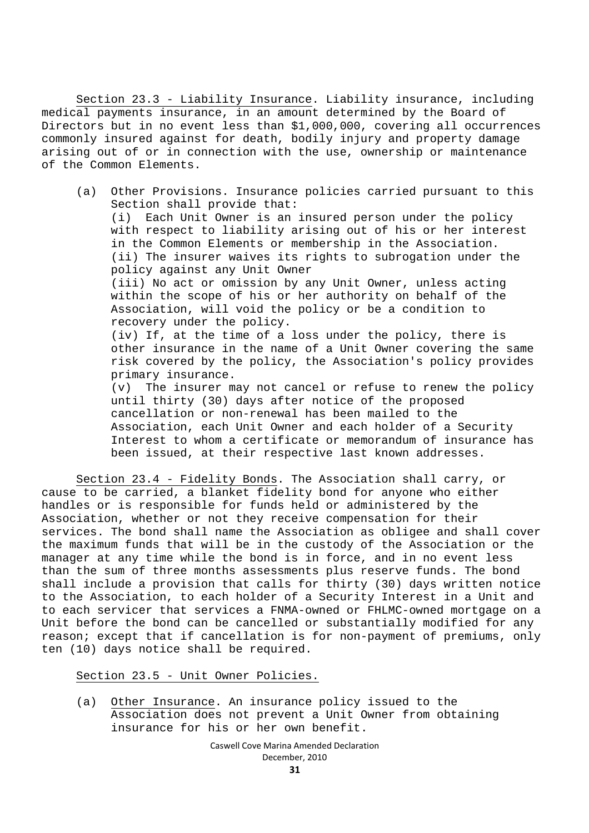Section 23.3 - Liability Insurance. Liability insurance, including medical payments insurance, in an amount determined by the Board of Directors but in no event less than \$1,000,000, covering all occurrences commonly insured against for death, bodily injury and property damage arising out of or in connection with the use, ownership or maintenance of the Common Elements.

(a) Other Provisions. Insurance policies carried pursuant to this Section shall provide that: (i) Each Unit Owner is an insured person under the policy with respect to liability arising out of his or her interest in the Common Elements or membership in the Association. (ii) The insurer waives its rights to subrogation under the policy against any Unit Owner (iii) No act or omission by any Unit Owner, unless acting within the scope of his or her authority on behalf of the Association, will void the policy or be a condition to recovery under the policy. (iv) If, at the time of a loss under the policy, there is other insurance in the name of a Unit Owner covering the same risk covered by the policy, the Association's policy provides primary insurance. (v) The insurer may not cancel or refuse to renew the policy until thirty (30) days after notice of the proposed cancellation or non-renewal has been mailed to the Association, each Unit Owner and each holder of a Security Interest to whom a certificate or memorandum of insurance has been issued, at their respective last known addresses.

Section 23.4 - Fidelity Bonds. The Association shall carry, or cause to be carried, a blanket fidelity bond for anyone who either handles or is responsible for funds held or administered by the Association, whether or not they receive compensation for their services. The bond shall name the Association as obligee and shall cover the maximum funds that will be in the custody of the Association or the manager at any time while the bond is in force, and in no event less than the sum of three months assessments plus reserve funds. The bond shall include a provision that calls for thirty (30) days written notice to the Association, to each holder of a Security Interest in a Unit and to each servicer that services a FNMA-owned or FHLMC-owned mortgage on a Unit before the bond can be cancelled or substantially modified for any reason; except that if cancellation is for non-payment of premiums, only ten (10) days notice shall be required.

Section 23.5 - Unit Owner Policies.

(a) Other Insurance. An insurance policy issued to the Association does not prevent a Unit Owner from obtaining insurance for his or her own benefit.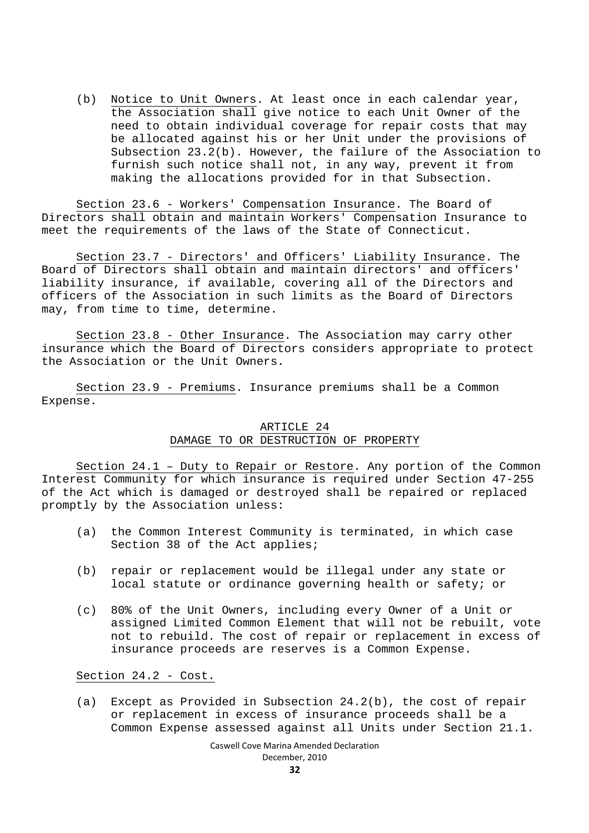(b) Notice to Unit Owners. At least once in each calendar year, the Association shall give notice to each Unit Owner of the need to obtain individual coverage for repair costs that may be allocated against his or her Unit under the provisions of Subsection 23.2(b). However, the failure of the Association to furnish such notice shall not, in any way, prevent it from making the allocations provided for in that Subsection.

Section 23.6 - Workers' Compensation Insurance. The Board of Directors shall obtain and maintain Workers' Compensation Insurance to meet the requirements of the laws of the State of Connecticut.

Section 23.7 - Directors' and Officers' Liability Insurance. The Board of Directors shall obtain and maintain directors' and officers' liability insurance, if available, covering all of the Directors and officers of the Association in such limits as the Board of Directors may, from time to time, determine.

Section 23.8 - Other Insurance. The Association may carry other insurance which the Board of Directors considers appropriate to protect the Association or the Unit Owners.

Section 23.9 - Premiums. Insurance premiums shall be a Common Expense.

### ARTICLE 24 DAMAGE TO OR DESTRUCTION OF PROPERTY

Section 24.1 – Duty to Repair or Restore. Any portion of the Common Interest Community for which insurance is required under Section 47-255 of the Act which is damaged or destroyed shall be repaired or replaced promptly by the Association unless:

- (a) the Common Interest Community is terminated, in which case Section 38 of the Act applies;
- (b) repair or replacement would be illegal under any state or local statute or ordinance governing health or safety; or
- (c) 80% of the Unit Owners, including every Owner of a Unit or assigned Limited Common Element that will not be rebuilt, vote not to rebuild. The cost of repair or replacement in excess of insurance proceeds are reserves is a Common Expense.

Section 24.2 - Cost.

(a) Except as Provided in Subsection 24.2(b), the cost of repair or replacement in excess of insurance proceeds shall be a Common Expense assessed against all Units under Section 21.1.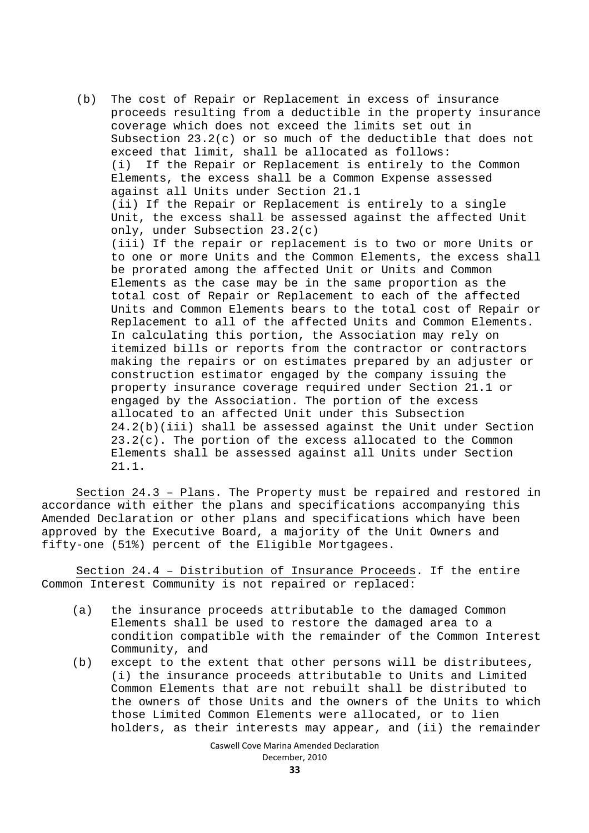(b) The cost of Repair or Replacement in excess of insurance proceeds resulting from a deductible in the property insurance coverage which does not exceed the limits set out in Subsection 23.2(c) or so much of the deductible that does not exceed that limit, shall be allocated as follows: (i) If the Repair or Replacement is entirely to the Common Elements, the excess shall be a Common Expense assessed against all Units under Section 21.1 (ii) If the Repair or Replacement is entirely to a single Unit, the excess shall be assessed against the affected Unit only, under Subsection 23.2(c) (iii) If the repair or replacement is to two or more Units or to one or more Units and the Common Elements, the excess shall be prorated among the affected Unit or Units and Common Elements as the case may be in the same proportion as the total cost of Repair or Replacement to each of the affected Units and Common Elements bears to the total cost of Repair or Replacement to all of the affected Units and Common Elements. In calculating this portion, the Association may rely on itemized bills or reports from the contractor or contractors making the repairs or on estimates prepared by an adjuster or construction estimator engaged by the company issuing the property insurance coverage required under Section 21.1 or engaged by the Association. The portion of the excess allocated to an affected Unit under this Subsection 24.2(b)(iii) shall be assessed against the Unit under Section 23.2(c). The portion of the excess allocated to the Common Elements shall be assessed against all Units under Section 21.1.

Section 24.3 – Plans. The Property must be repaired and restored in accordance with either the plans and specifications accompanying this Amended Declaration or other plans and specifications which have been approved by the Executive Board, a majority of the Unit Owners and fifty-one (51%) percent of the Eligible Mortgagees.

Section 24.4 – Distribution of Insurance Proceeds. If the entire Common Interest Community is not repaired or replaced:

- (a) the insurance proceeds attributable to the damaged Common Elements shall be used to restore the damaged area to a condition compatible with the remainder of the Common Interest Community, and
- (b) except to the extent that other persons will be distributees, (i) the insurance proceeds attributable to Units and Limited Common Elements that are not rebuilt shall be distributed to the owners of those Units and the owners of the Units to which those Limited Common Elements were allocated, or to lien holders, as their interests may appear, and (ii) the remainder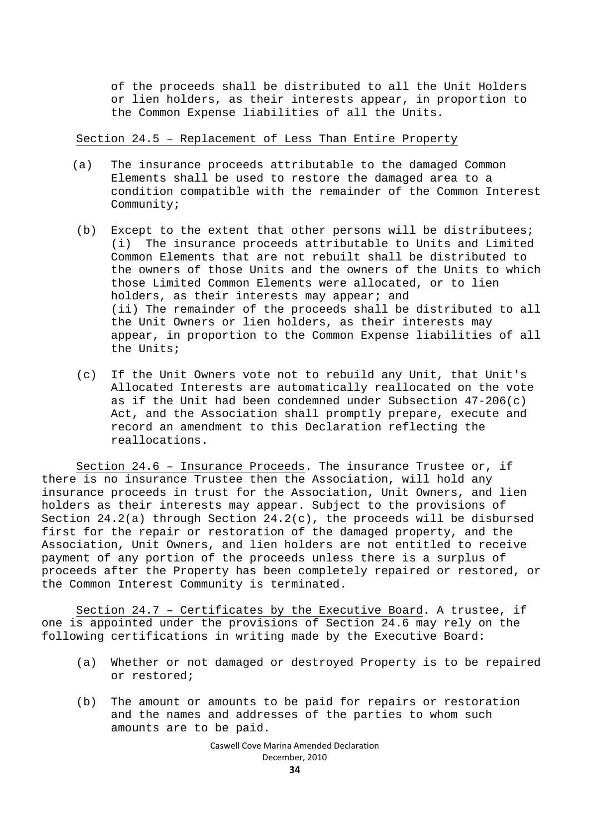of the proceeds shall be distributed to all the Unit Holders or lien holders, as their interests appear, in proportion to the Common Expense liabilities of all the Units.

Section 24.5 – Replacement of Less Than Entire Property

- (a) The insurance proceeds attributable to the damaged Common Elements shall be used to restore the damaged area to a condition compatible with the remainder of the Common Interest Community;
- (b) Except to the extent that other persons will be distributees; (i) The insurance proceeds attributable to Units and Limited Common Elements that are not rebuilt shall be distributed to the owners of those Units and the owners of the Units to which those Limited Common Elements were allocated, or to lien holders, as their interests may appear; and (ii) The remainder of the proceeds shall be distributed to all the Unit Owners or lien holders, as their interests may appear, in proportion to the Common Expense liabilities of all the Units;
- (c) If the Unit Owners vote not to rebuild any Unit, that Unit's Allocated Interests are automatically reallocated on the vote as if the Unit had been condemned under Subsection 47-206(c) Act, and the Association shall promptly prepare, execute and record an amendment to this Declaration reflecting the reallocations.

Section 24.6 – Insurance Proceeds. The insurance Trustee or, if there is no insurance Trustee then the Association, will hold any insurance proceeds in trust for the Association, Unit Owners, and lien holders as their interests may appear. Subject to the provisions of Section 24.2(a) through Section 24.2(c), the proceeds will be disbursed first for the repair or restoration of the damaged property, and the Association, Unit Owners, and lien holders are not entitled to receive payment of any portion of the proceeds unless there is a surplus of proceeds after the Property has been completely repaired or restored, or the Common Interest Community is terminated.

Section 24.7 – Certificates by the Executive Board. A trustee, if one is appointed under the provisions of Section 24.6 may rely on the following certifications in writing made by the Executive Board:

- (a) Whether or not damaged or destroyed Property is to be repaired or restored;
- (b) The amount or amounts to be paid for repairs or restoration and the names and addresses of the parties to whom such amounts are to be paid.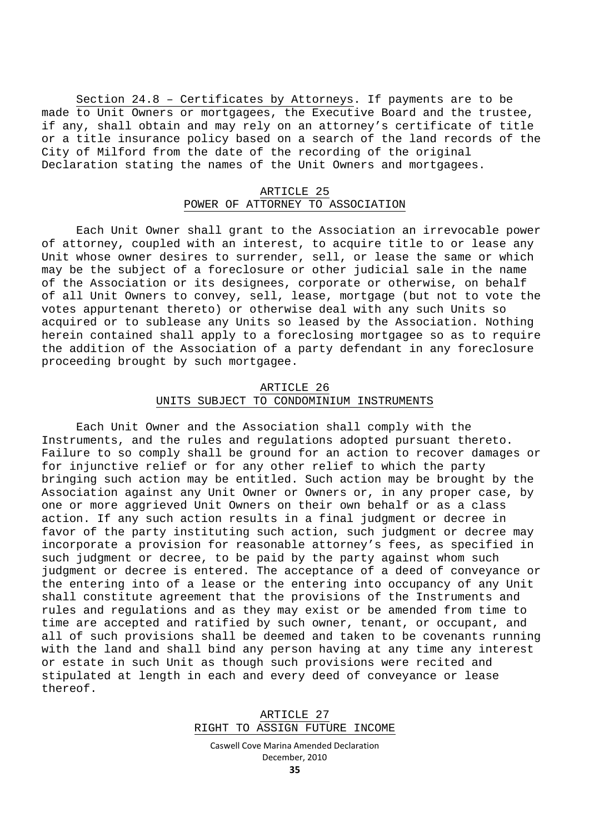Section 24.8 – Certificates by Attorneys. If payments are to be made to Unit Owners or mortgagees, the Executive Board and the trustee, if any, shall obtain and may rely on an attorney's certificate of title or a title insurance policy based on a search of the land records of the City of Milford from the date of the recording of the original Declaration stating the names of the Unit Owners and mortgagees.

### ARTICLE 25 POWER OF ATTORNEY TO ASSOCIATION

Each Unit Owner shall grant to the Association an irrevocable power of attorney, coupled with an interest, to acquire title to or lease any Unit whose owner desires to surrender, sell, or lease the same or which may be the subject of a foreclosure or other judicial sale in the name of the Association or its designees, corporate or otherwise, on behalf of all Unit Owners to convey, sell, lease, mortgage (but not to vote the votes appurtenant thereto) or otherwise deal with any such Units so acquired or to sublease any Units so leased by the Association. Nothing herein contained shall apply to a foreclosing mortgagee so as to require the addition of the Association of a party defendant in any foreclosure proceeding brought by such mortgagee.

### ARTICLE 26 UNITS SUBJECT TO CONDOMINIUM INSTRUMENTS

Each Unit Owner and the Association shall comply with the Instruments, and the rules and regulations adopted pursuant thereto. Failure to so comply shall be ground for an action to recover damages or for injunctive relief or for any other relief to which the party bringing such action may be entitled. Such action may be brought by the Association against any Unit Owner or Owners or, in any proper case, by one or more aggrieved Unit Owners on their own behalf or as a class action. If any such action results in a final judgment or decree in favor of the party instituting such action, such judgment or decree may incorporate a provision for reasonable attorney's fees, as specified in such judgment or decree, to be paid by the party against whom such judgment or decree is entered. The acceptance of a deed of conveyance or the entering into of a lease or the entering into occupancy of any Unit shall constitute agreement that the provisions of the Instruments and rules and regulations and as they may exist or be amended from time to time are accepted and ratified by such owner, tenant, or occupant, and all of such provisions shall be deemed and taken to be covenants running with the land and shall bind any person having at any time any interest or estate in such Unit as though such provisions were recited and stipulated at length in each and every deed of conveyance or lease thereof.

> ARTICLE 27 RIGHT TO ASSIGN FUTURE INCOME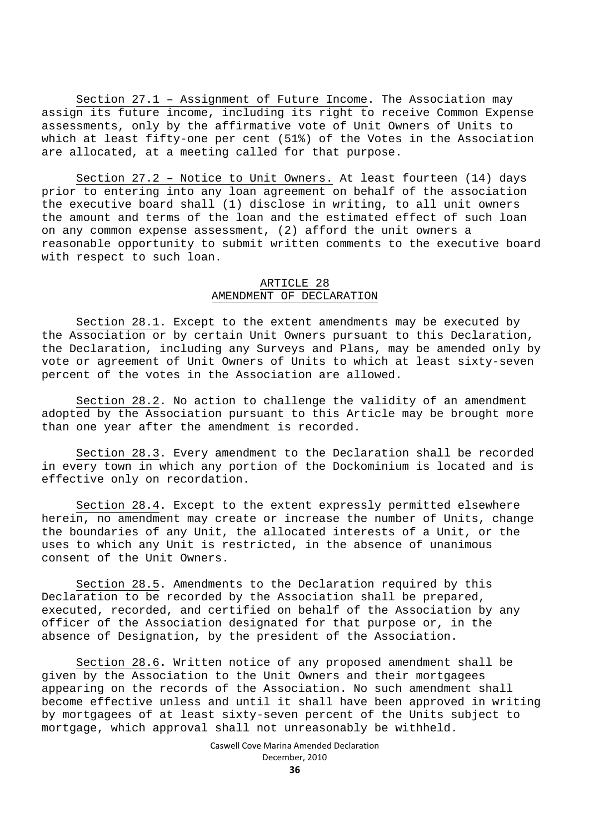Section 27.1 – Assignment of Future Income. The Association may assign its future income, including its right to receive Common Expense assessments, only by the affirmative vote of Unit Owners of Units to which at least fifty-one per cent (51%) of the Votes in the Association are allocated, at a meeting called for that purpose.

Section 27.2 – Notice to Unit Owners. At least fourteen (14) days prior to entering into any loan agreement on behalf of the association the executive board shall (1) disclose in writing, to all unit owners the amount and terms of the loan and the estimated effect of such loan on any common expense assessment, (2) afford the unit owners a reasonable opportunity to submit written comments to the executive board with respect to such loan.

#### ARTICLE 28 AMENDMENT OF DECLARATION

Section 28.1. Except to the extent amendments may be executed by the Association or by certain Unit Owners pursuant to this Declaration, the Declaration, including any Surveys and Plans, may be amended only by vote or agreement of Unit Owners of Units to which at least sixty-seven percent of the votes in the Association are allowed.

Section 28.2. No action to challenge the validity of an amendment adopted by the Association pursuant to this Article may be brought more than one year after the amendment is recorded.

Section 28.3. Every amendment to the Declaration shall be recorded in every town in which any portion of the Dockominium is located and is effective only on recordation.

Section 28.4. Except to the extent expressly permitted elsewhere herein, no amendment may create or increase the number of Units, change the boundaries of any Unit, the allocated interests of a Unit, or the uses to which any Unit is restricted, in the absence of unanimous consent of the Unit Owners.

Section 28.5. Amendments to the Declaration required by this Declaration to be recorded by the Association shall be prepared, executed, recorded, and certified on behalf of the Association by any officer of the Association designated for that purpose or, in the absence of Designation, by the president of the Association.

Section 28.6. Written notice of any proposed amendment shall be given by the Association to the Unit Owners and their mortgagees appearing on the records of the Association. No such amendment shall become effective unless and until it shall have been approved in writing by mortgagees of at least sixty-seven percent of the Units subject to mortgage, which approval shall not unreasonably be withheld.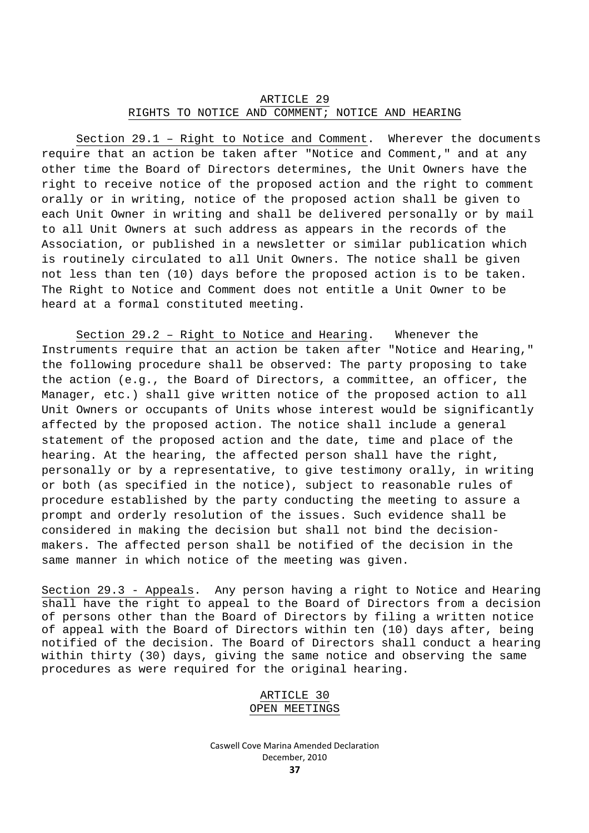### ARTICLE 29 RIGHTS TO NOTICE AND COMMENT; NOTICE AND HEARING

Section 29.1 – Right to Notice and Comment. Wherever the documents require that an action be taken after "Notice and Comment," and at any other time the Board of Directors determines, the Unit Owners have the right to receive notice of the proposed action and the right to comment orally or in writing, notice of the proposed action shall be given to each Unit Owner in writing and shall be delivered personally or by mail to all Unit Owners at such address as appears in the records of the Association, or published in a newsletter or similar publication which is routinely circulated to all Unit Owners. The notice shall be given not less than ten (10) days before the proposed action is to be taken. The Right to Notice and Comment does not entitle a Unit Owner to be heard at a formal constituted meeting.

Section 29.2 – Right to Notice and Hearing. Whenever the Instruments require that an action be taken after "Notice and Hearing," the following procedure shall be observed: The party proposing to take the action (e.g., the Board of Directors, a committee, an officer, the Manager, etc.) shall give written notice of the proposed action to all Unit Owners or occupants of Units whose interest would be significantly affected by the proposed action. The notice shall include a general statement of the proposed action and the date, time and place of the hearing. At the hearing, the affected person shall have the right, personally or by a representative, to give testimony orally, in writing or both (as specified in the notice), subject to reasonable rules of procedure established by the party conducting the meeting to assure a prompt and orderly resolution of the issues. Such evidence shall be considered in making the decision but shall not bind the decisionmakers. The affected person shall be notified of the decision in the same manner in which notice of the meeting was given.

Section 29.3 - Appeals. Any person having a right to Notice and Hearing shall have the right to appeal to the Board of Directors from a decision of persons other than the Board of Directors by filing a written notice of appeal with the Board of Directors within ten (10) days after, being notified of the decision. The Board of Directors shall conduct a hearing within thirty (30) days, giving the same notice and observing the same procedures as were required for the original hearing.

### ARTICLE 30 OPEN MEETINGS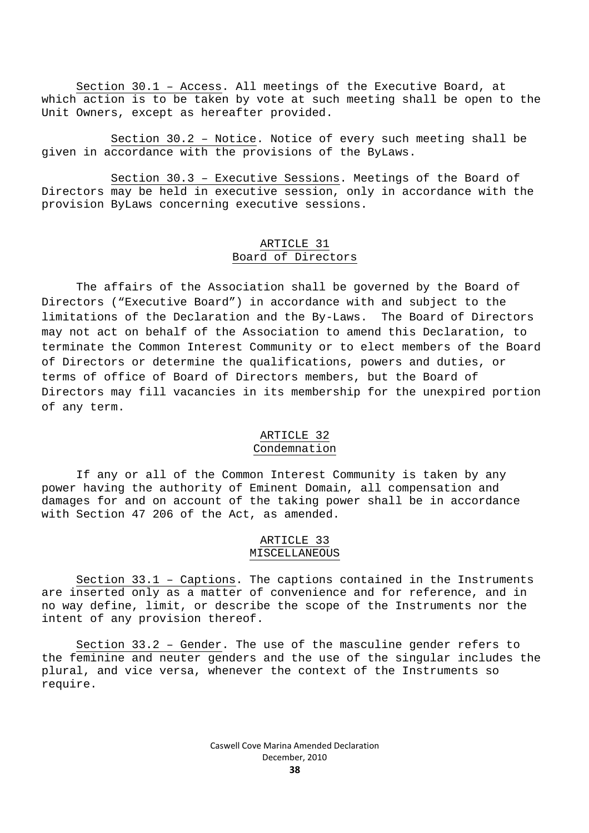Section 30.1 – Access. All meetings of the Executive Board, at which action is to be taken by vote at such meeting shall be open to the Unit Owners, except as hereafter provided.

Section 30.2 – Notice. Notice of every such meeting shall be given in accordance with the provisions of the ByLaws.

Section 30.3 – Executive Sessions. Meetings of the Board of Directors may be held in executive session, only in accordance with the provision ByLaws concerning executive sessions.

### ARTICLE 31 Board of Directors

The affairs of the Association shall be governed by the Board of Directors ("Executive Board") in accordance with and subject to the limitations of the Declaration and the By-Laws. The Board of Directors may not act on behalf of the Association to amend this Declaration, to terminate the Common Interest Community or to elect members of the Board of Directors or determine the qualifications, powers and duties, or terms of office of Board of Directors members, but the Board of Directors may fill vacancies in its membership for the unexpired portion of any term.

### ARTICLE 32 Condemnation

If any or all of the Common Interest Community is taken by any power having the authority of Eminent Domain, all compensation and damages for and on account of the taking power shall be in accordance with Section 47 206 of the Act, as amended.

### ARTICLE 33 MISCELLANEOUS

Section 33.1 – Captions. The captions contained in the Instruments are inserted only as a matter of convenience and for reference, and in no way define, limit, or describe the scope of the Instruments nor the intent of any provision thereof.

Section 33.2 – Gender. The use of the masculine gender refers to the feminine and neuter genders and the use of the singular includes the plural, and vice versa, whenever the context of the Instruments so require.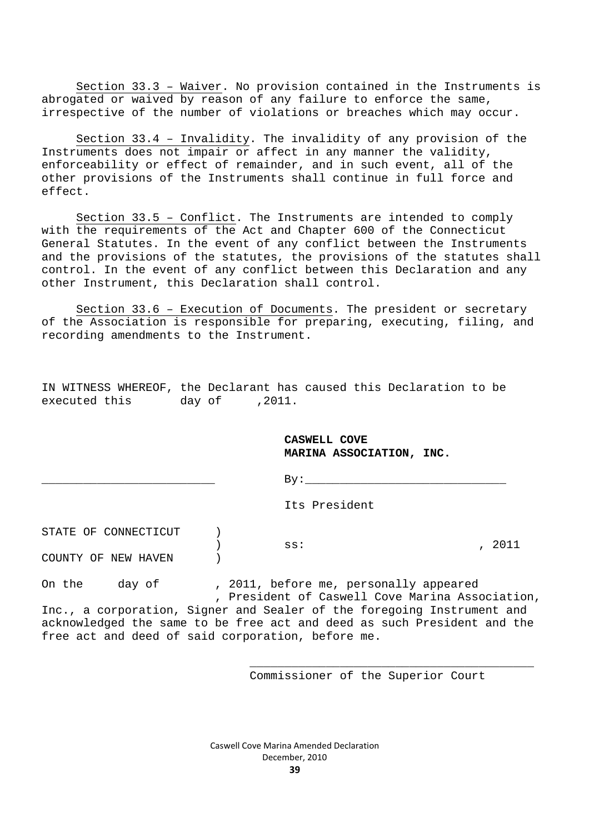Section 33.3 – Waiver. No provision contained in the Instruments is abrogated or waived by reason of any failure to enforce the same, irrespective of the number of violations or breaches which may occur.

Section 33.4 – Invalidity. The invalidity of any provision of the Instruments does not impair or affect in any manner the validity, enforceability or effect of remainder, and in such event, all of the other provisions of the Instruments shall continue in full force and effect.

Section 33.5 – Conflict. The Instruments are intended to comply with the requirements of the Act and Chapter 600 of the Connecticut General Statutes. In the event of any conflict between the Instruments and the provisions of the statutes, the provisions of the statutes shall control. In the event of any conflict between this Declaration and any other Instrument, this Declaration shall control.

Section 33.6 – Execution of Documents. The president or secretary of the Association is responsible for preparing, executing, filing, and recording amendments to the Instrument.

IN WITNESS WHEREOF, the Declarant has caused this Declaration to be executed this day of ,2011.

#### **CASWELL COVE MARINA ASSOCIATION, INC.**

\_\_\_\_\_\_\_\_\_\_\_\_\_\_\_\_\_\_\_\_\_\_\_\_\_ By:\_\_\_\_\_\_\_\_\_\_\_\_\_\_\_\_\_\_\_\_\_\_\_\_\_\_\_\_\_ Its President STATE OF CONNECTICUT ) ) ss: , 2011 COUNTY OF NEW HAVEN )

On the day of , 2011, before me, personally appeared , President of Caswell Cove Marina Association,

Inc., a corporation, Signer and Sealer of the foregoing Instrument and acknowledged the same to be free act and deed as such President and the free act and deed of said corporation, before me.

Commissioner of the Superior Court

\_\_\_\_\_\_\_\_\_\_\_\_\_\_\_\_\_\_\_\_\_\_\_\_\_\_\_\_\_\_\_\_\_\_\_\_\_\_\_\_\_